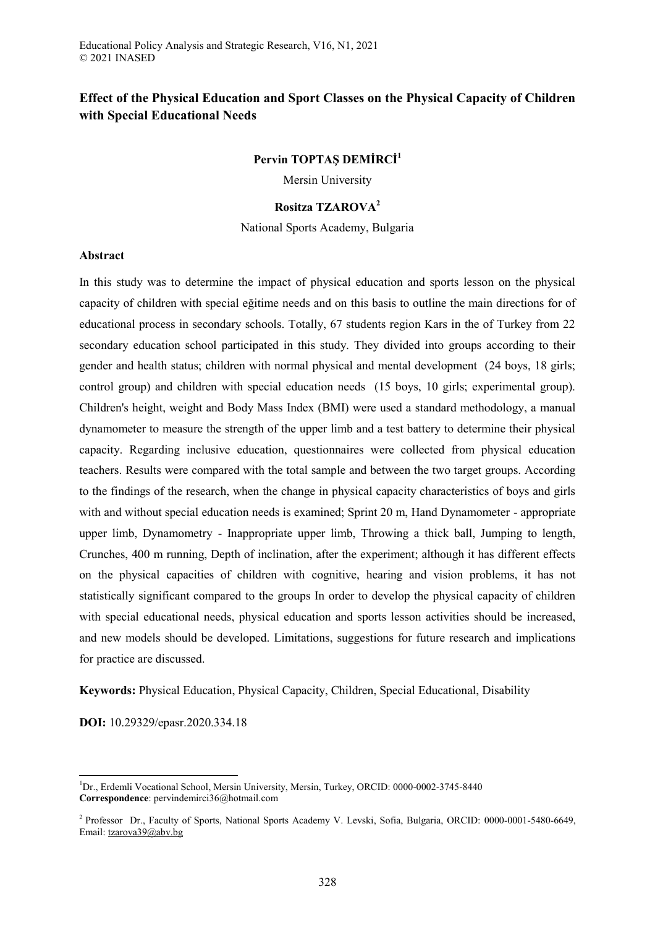# **Effect of the Physical Education and Sport Classes on the Physical Capacity of Children with Special Educational Needs**

# **Pervin TOPTAŞ DEMİRCİ<sup>1</sup>**

Mersin University

# **Rositza TZAROVA<sup>2</sup>**

National Sports Academy, Bulgaria

### **Abstract**

In this study was to determine the impact of physical education and sports lesson on the physical capacity of children with special eğitime needs and on this basis to outline the main directions for of educational process in secondary schools. Totally, 67 students region Kars in the of Turkey from 22 secondary education school participated in this study. They divided into groups according to their gender and health status; children with normal physical and mental development (24 boys, 18 girls; control group) and children with special education needs (15 boys, 10 girls; experimental group). Children's height, weight and Body Mass Index (BMI) were used a standard methodology, a manual dynamometer to measure the strength of the upper limb and a test battery to determine their physical capacity. Regarding inclusive education, questionnaires were collected from physical education teachers. Results were compared with the total sample and between the two target groups. According to the findings of the research, when the change in physical capacity characteristics of boys and girls with and without special education needs is examined; Sprint 20 m, Hand Dynamometer - appropriate upper limb, Dynamometry - Inappropriate upper limb, Throwing a thick ball, Jumping to length, Crunches, 400 m running, Depth of inclination, after the experiment; although it has different effects on the physical capacities of children with cognitive, hearing and vision problems, it has not statistically significant compared to the groups In order to develop the physical capacity of children with special educational needs, physical education and sports lesson activities should be increased, and new models should be developed. Limitations, suggestions for future research and implications for practice are discussed.

**Keywords:** Physical Education, Physical Capacity, Children, Special Educational, Disability

**DOI:** 10.29329/epasr.2020.334.18

 $\overline{a}$ <sup>1</sup>Dr., Erdemli Vocational School, Mersin University, Mersin, Turkey, ORCID: 0000-0002-3745-8440 **Correspondence**: pervindemirci36@hotmail.com

<sup>&</sup>lt;sup>2</sup> Professor Dr., Faculty of Sports, National Sports Academy V. Levski, Sofia, Bulgaria, ORCID: 0000-0001-5480-6649, Email: [tzarova39@abv.bg](mailto:tzarova39@abv.bg)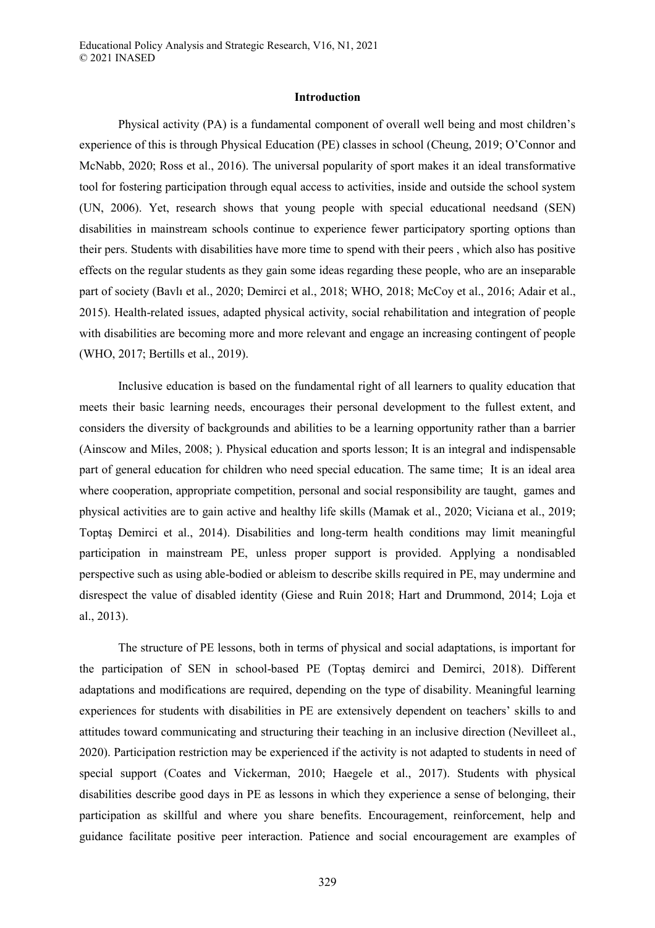### **Introduction**

Physical activity (PA) is a fundamental component of overall well being and most children's experience of this is through Physical Education (PE) classes in school (Cheung, 2019; O'Connor and McNabb, 2020; Ross et al., 2016). The universal popularity of sport makes it an ideal transformative tool for fostering participation through equal access to activities, inside and outside the school system (UN, 2006). Yet, research shows that young people with special educational needsand (SEN) disabilities in mainstream schools continue to experience fewer participatory sporting options than their pers. Students with disabilities have more time to spend with their peers , which also has positive effects on the regular students as they gain some ideas regarding these people, who are an inseparable part of society (Bavlı et al., 2020; Demirci et al., 2018; WHO, 2018; McCoy et al., 2016; Adair et al., 2015). Health-related issues, adapted physical activity, social rehabilitation and integration of people with disabilities are becoming more and more relevant and engage an increasing contingent of people (WHO, 2017; Bertills et al., 2019).

Inclusive education is based on the fundamental right of all learners to quality education that meets their basic learning needs, encourages their personal development to the fullest extent, and considers the diversity of backgrounds and abilities to be a learning opportunity rather than a barrier (Ainscow and Miles, 2008; ). Physical education and sports lesson; It is an integral and indispensable part of general education for children who need special education. The same time; It is an ideal area where cooperation, appropriate competition, personal and social responsibility are taught, games and physical activities are to gain active and healthy life skills (Mamak et al., 2020; Viciana et al., 2019; Toptaş Demirci et al., 2014). Disabilities and long-term health conditions may limit meaningful participation in mainstream PE, unless proper support is provided. Applying a nondisabled perspective such as using able-bodied or ableism to describe skills required in PE, may undermine and disrespect the value of disabled identity (Giese and Ruin 2018; Hart and Drummond, 2014; Loja et al., 2013).

The structure of PE lessons, both in terms of physical and social adaptations, is important for the participation of SEN in school-based PE (Toptaş demirci and Demirci, 2018). Different adaptations and modifications are required, depending on the type of disability. Meaningful learning experiences for students with disabilities in PE are extensively dependent on teachers' skills to and attitudes toward communicating and structuring their teaching in an inclusive direction (Nevilleet al., 2020). Participation restriction may be experienced if the activity is not adapted to students in need of special support (Coates and Vickerman, 2010; Haegele et al., 2017). Students with physical disabilities describe good days in PE as lessons in which they experience a sense of belonging, their participation as skillful and where you share benefits. Encouragement, reinforcement, help and guidance facilitate positive peer interaction. Patience and social encouragement are examples of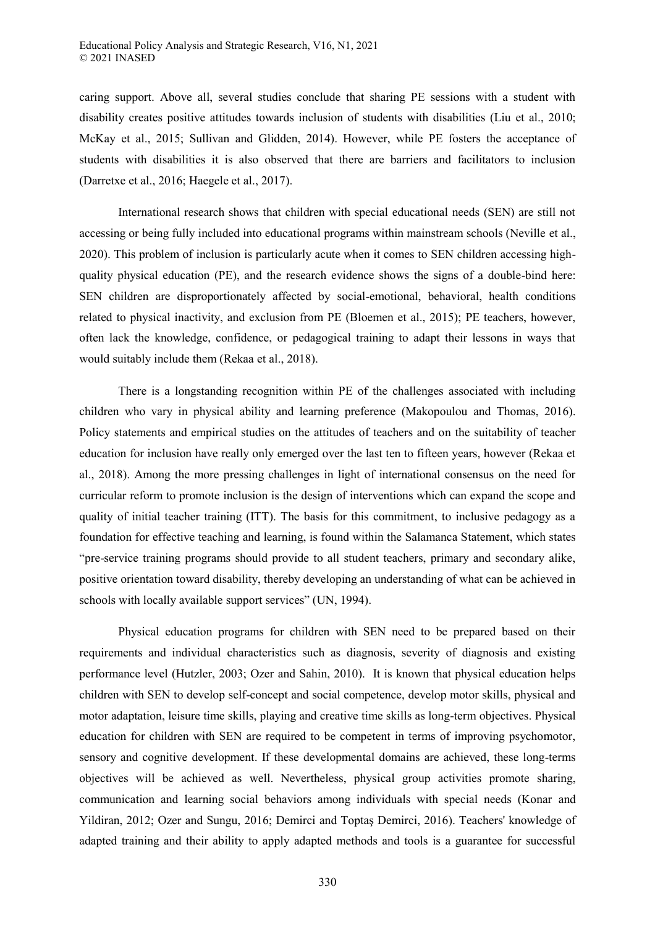caring support. Above all, several studies conclude that sharing PE sessions with a student with disability creates positive attitudes towards inclusion of students with disabilities (Liu et al., 2010; McKay et al., 2015; Sullivan and Glidden, 2014). However, while PE fosters the acceptance of students with disabilities it is also observed that there are barriers and facilitators to inclusion (Darretxe et al., 2016; Haegele et al., 2017).

International research shows that children with special educational needs (SEN) are still not accessing or being fully included into educational programs within mainstream schools (Neville et al., 2020). This problem of inclusion is particularly acute when it comes to SEN children accessing highquality physical education (PE), and the research evidence shows the signs of a double-bind here: SEN children are disproportionately affected by social-emotional, behavioral, health conditions related to physical inactivity, and exclusion from PE (Bloemen et al., 2015); PE teachers, however, often lack the knowledge, confidence, or pedagogical training to adapt their lessons in ways that would suitably include them (Rekaa et al., 2018).

There is a longstanding recognition within PE of the challenges associated with including children who vary in physical ability and learning preference (Makopoulou and Thomas, 2016). Policy statements and empirical studies on the attitudes of teachers and on the suitability of teacher education for inclusion have really only emerged over the last ten to fifteen years, however (Rekaa et al., 2018). Among the more pressing challenges in light of international consensus on the need for curricular reform to promote inclusion is the design of interventions which can expand the scope and quality of initial teacher training (ITT). The basis for this commitment, to inclusive pedagogy as a foundation for effective teaching and learning, is found within the Salamanca Statement, which states "pre-service training programs should provide to all student teachers, primary and secondary alike, positive orientation toward disability, thereby developing an understanding of what can be achieved in schools with locally available support services" (UN, 1994).

Physical education programs for children with SEN need to be prepared based on their requirements and individual characteristics such as diagnosis, severity of diagnosis and existing performance level (Hutzler, 2003; Ozer and Sahin, 2010). It is known that physical education helps children with SEN to develop self-concept and social competence, develop motor skills, physical and motor adaptation, leisure time skills, playing and creative time skills as long-term objectives. Physical education for children with SEN are required to be competent in terms of improving psychomotor, sensory and cognitive development. If these developmental domains are achieved, these long-terms objectives will be achieved as well. Nevertheless, physical group activities promote sharing, communication and learning social behaviors among individuals with special needs (Konar and Yildiran, 2012; Ozer and Sungu, 2016; Demirci and Toptaş Demirci, 2016). Teachers' knowledge of adapted training and their ability to apply adapted methods and tools is a guarantee for successful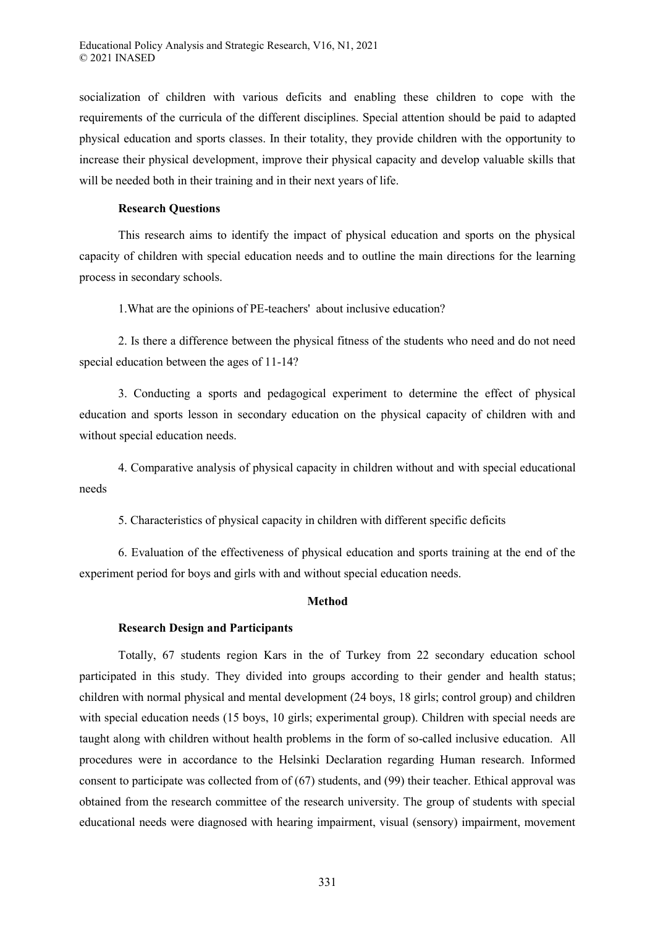socialization of children with various deficits and enabling these children to cope with the requirements of the curricula of the different disciplines. Special attention should be paid to adapted physical education and sports classes. In their totality, they provide children with the opportunity to increase their physical development, improve their physical capacity and develop valuable skills that will be needed both in their training and in their next years of life.

### **Research Questions**

This research aims to identify the impact of physical education and sports on the physical capacity of children with special education needs and to outline the main directions for the learning process in secondary schools.

1.What are the opinions of PE-teachers' about inclusive education?

2. Is there a difference between the physical fitness of the students who need and do not need special education between the ages of 11-14?

3. Conducting a sports and pedagogical experiment to determine the effect of physical education and sports lesson in secondary education on the physical capacity of children with and without special education needs.

4. Comparative analysis of physical capacity in children without and with special educational needs

5. Characteristics of physical capacity in children with different specific deficits

6. Evaluation of the effectiveness of physical education and sports training at the end of the experiment period for boys and girls with and without special education needs.

# **Method**

# **Research Design and Participants**

Totally, 67 students region Kars in the of Turkey from 22 secondary education school participated in this study. They divided into groups according to their gender and health status; children with normal physical and mental development (24 boys, 18 girls; control group) and children with special education needs (15 boys, 10 girls; experimental group). Children with special needs are taught along with children without health problems in the form of so-called inclusive education. All procedures were in accordance to the Helsinki Declaration regarding Human research. Informed consent to participate was collected from of (67) students, and (99) their teacher. Ethical approval was obtained from the research committee of the research university. The group of students with special educational needs were diagnosed with hearing impairment, visual (sensory) impairment, movement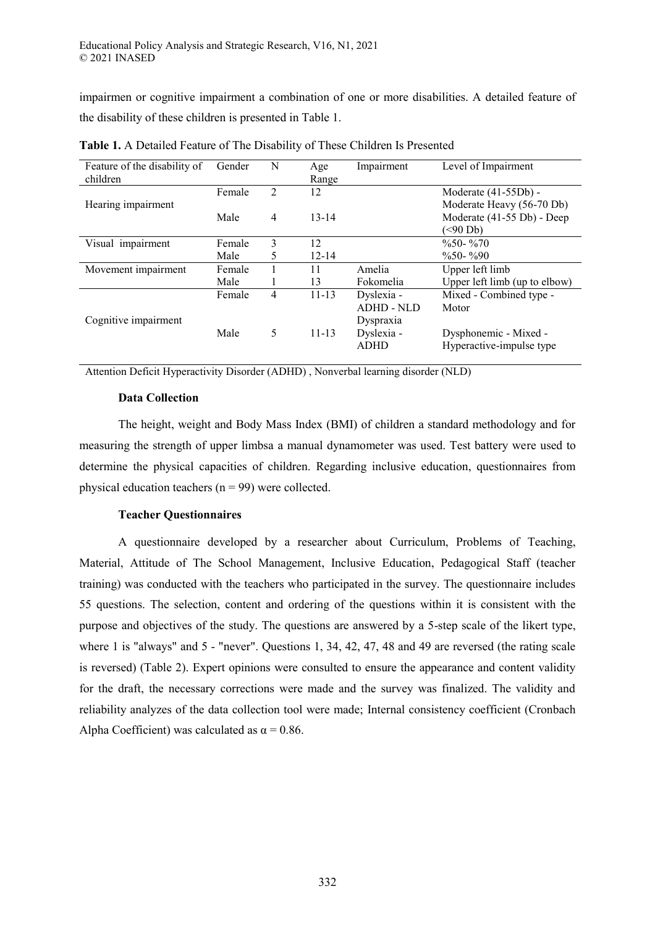impairmen or cognitive impairment a combination of one or more disabilities. A detailed feature of the disability of these children is presented in Table 1.

| Feature of the disability of<br>children | Gender | N              | Age<br>Range | Impairment                                   | Level of Impairment                                                    |  |
|------------------------------------------|--------|----------------|--------------|----------------------------------------------|------------------------------------------------------------------------|--|
|                                          | Female | $\mathfrak{D}$ | 12           |                                              | Moderate (41-55Db) -                                                   |  |
| Hearing impairment                       | Male   | 4              | $13 - 14$    |                                              | Moderate Heavy (56-70 Db)<br>Moderate (41-55 Db) - Deep<br>$($ <90 Db) |  |
| Visual impairment                        | Female | 3              | 12           |                                              | $\frac{0}{650}$ - %70                                                  |  |
|                                          | Male   | 5              | $12 - 14$    |                                              | $\%50 - \%90$                                                          |  |
| Movement impairment                      | Female |                | 11           | Amelia                                       | Upper left limb                                                        |  |
|                                          | Male   |                | 13           | Fokomelia                                    | Upper left limb (up to elbow)                                          |  |
| Cognitive impairment                     | Female | 4              | $11 - 13$    | Dyslexia -<br><b>ADHD - NLD</b><br>Dyspraxia | Mixed - Combined type -<br>Motor                                       |  |
|                                          | Male   | 5              | $11 - 13$    | Dyslexia -<br><b>ADHD</b>                    | Dysphonemic - Mixed -<br>Hyperactive-impulse type                      |  |

**Table 1.** A Detailed Feature of The Disability of These Children Is Presented

Attention Deficit Hyperactivity Disorder (ADHD) , Nonverbal learning disorder (NLD)

# **Data Collection**

The height, weight and Body Mass Index (BMI) of children a standard methodology and for measuring the strength of upper limbsa a manual dynamometer was used. Test battery were used to determine the physical capacities of children. Regarding inclusive education, questionnaires from physical education teachers ( $n = 99$ ) were collected.

# **Teacher Questionnaires**

A questionnaire developed by a researcher about Curriculum, Problems of Teaching, Material, Attitude of The School Management, Inclusive Education, Pedagogical Staff (teacher training) was conducted with the teachers who participated in the survey. The questionnaire includes 55 questions. The selection, content and ordering of the questions within it is consistent with the purpose and objectives of the study. The questions are answered by a 5-step scale of the likert type, where 1 is "always" and 5 - "never". Questions 1, 34, 42, 47, 48 and 49 are reversed (the rating scale is reversed) (Table 2). Expert opinions were consulted to ensure the appearance and content validity for the draft, the necessary corrections were made and the survey was finalized. The validity and reliability analyzes of the data collection tool were made; Internal consistency coefficient (Cronbach Alpha Coefficient) was calculated as  $\alpha = 0.86$ .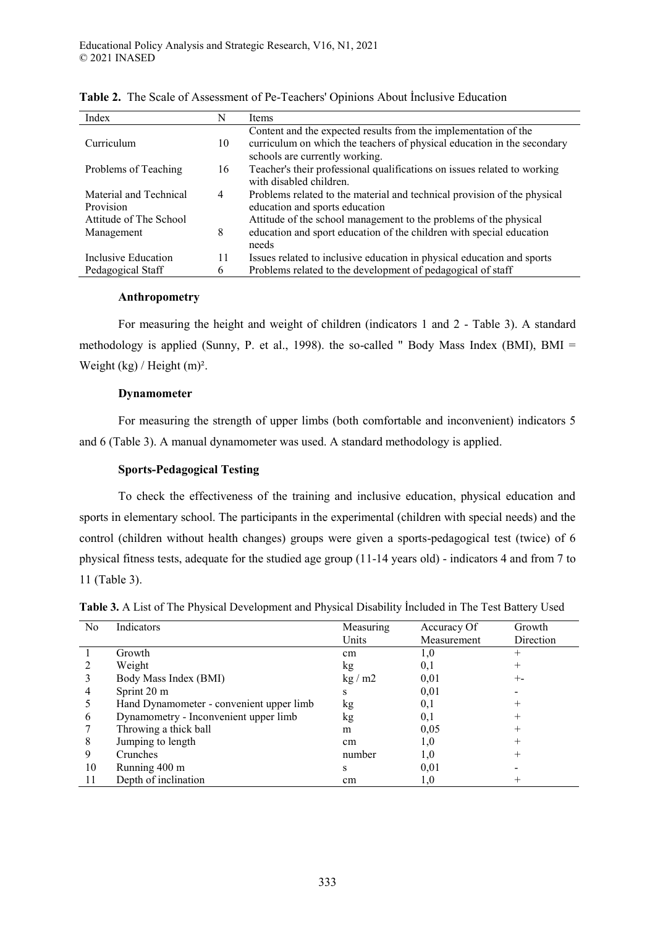| Index                  | N  | Items                                                                    |
|------------------------|----|--------------------------------------------------------------------------|
|                        |    | Content and the expected results from the implementation of the          |
| Curriculum             | 10 | curriculum on which the teachers of physical education in the secondary  |
|                        |    | schools are currently working.                                           |
| Problems of Teaching   | 16 | Teacher's their professional qualifications on issues related to working |
|                        |    | with disabled children.                                                  |
| Material and Technical | 4  | Problems related to the material and technical provision of the physical |
| Provision              |    | education and sports education                                           |
| Attitude of The School |    | Attitude of the school management to the problems of the physical        |
| Management             | 8  | education and sport education of the children with special education     |
|                        |    | needs                                                                    |
| Inclusive Education    | 11 | Issues related to inclusive education in physical education and sports   |
| Pedagogical Staff      | 6  | Problems related to the development of pedagogical of staff              |

÷

**Table 2.** The Scale of Assessment of Pe-Teachers' Opinions About İnclusive Education

# **Anthropometry**

For measuring the height and weight of children (indicators 1 and 2 - Table 3). A standard methodology is applied (Sunny, P. et al., 1998). the so-called " Body Mass Index (BMI), BMI = Weight (kg) / Height (m)<sup>2</sup>.

# **Dynamometer**

For measuring the strength of upper limbs (both comfortable and inconvenient) indicators 5 and 6 (Table 3). A manual dynamometer was used. A standard methodology is applied.

# **Sports-Pedagogical Testing**

To check the effectiveness of the training and inclusive education, physical education and sports in elementary school. The participants in the experimental (children with special needs) and the control (children without health changes) groups were given a sports-pedagogical test (twice) of 6 physical fitness tests, adequate for the studied age group (11-14 years old) - indicators 4 and from 7 to 11 (Table 3).

| No | Indicators                               | Measuring | Accuracy Of | Growth    |
|----|------------------------------------------|-----------|-------------|-----------|
|    |                                          | Units     | Measurement | Direction |
|    | Growth                                   | cm        | 1,0         |           |
|    | Weight                                   | kg        | 0,1         |           |
|    | Body Mass Index (BMI)                    | kg/m2     | 0.01        |           |
|    | Sprint 20 m                              | S         | 0.01        |           |
|    | Hand Dynamometer - convenient upper limb | kg        | 0,1         |           |
| 6  | Dynamometry - Inconvenient upper limb    | kg        | 0,1         |           |
|    | Throwing a thick ball                    | m         | 0,05        |           |
|    | Jumping to length                        | cm        | 1,0         |           |
|    | Crunches                                 | number    | 1,0         |           |
| 10 | Running 400 m                            | s         | 0,01        |           |
|    | Depth of inclination                     | cm        | 1,0         |           |

**Table 3.** A List of The Physical Development and Physical Disability İncluded in The Test Battery Used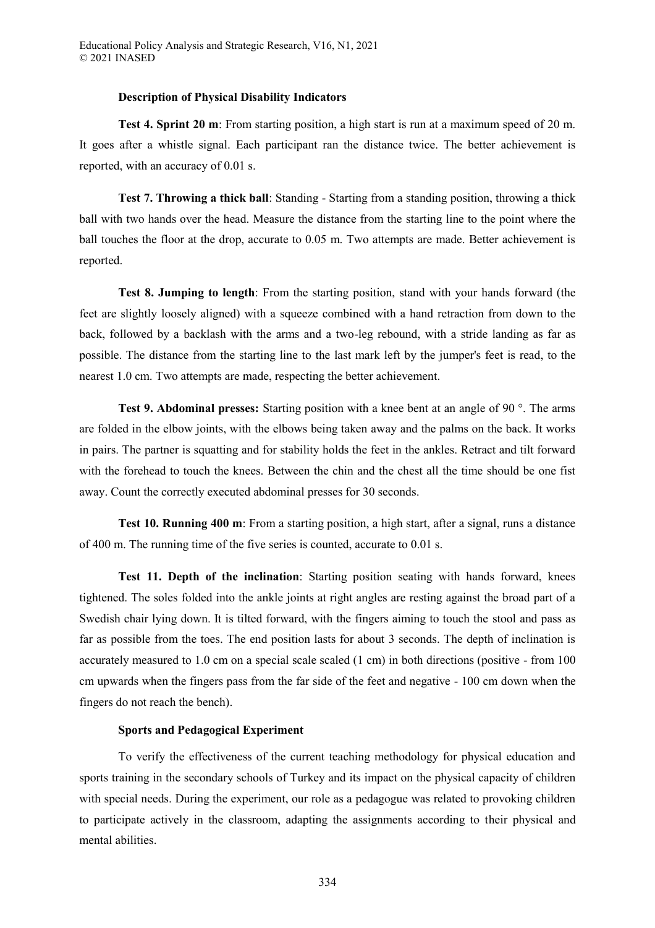#### **Description of Physical Disability Indicators**

**Test 4. Sprint 20 m**: From starting position, a high start is run at a maximum speed of 20 m. It goes after a whistle signal. Each participant ran the distance twice. The better achievement is reported, with an accuracy of 0.01 s.

**Test 7. Throwing a thick ball**: Standing - Starting from a standing position, throwing a thick ball with two hands over the head. Measure the distance from the starting line to the point where the ball touches the floor at the drop, accurate to 0.05 m. Two attempts are made. Better achievement is reported.

**Test 8. Jumping to length**: From the starting position, stand with your hands forward (the feet are slightly loosely aligned) with a squeeze combined with a hand retraction from down to the back, followed by a backlash with the arms and a two-leg rebound, with a stride landing as far as possible. The distance from the starting line to the last mark left by the jumper's feet is read, to the nearest 1.0 cm. Two attempts are made, respecting the better achievement.

**Test 9. Abdominal presses:** Starting position with a knee bent at an angle of 90 °. The arms are folded in the elbow joints, with the elbows being taken away and the palms on the back. It works in pairs. The partner is squatting and for stability holds the feet in the ankles. Retract and tilt forward with the forehead to touch the knees. Between the chin and the chest all the time should be one fist away. Count the correctly executed abdominal presses for 30 seconds.

**Test 10. Running 400 m**: From a starting position, a high start, after a signal, runs a distance of 400 m. The running time of the five series is counted, accurate to 0.01 s.

**Test 11. Depth of the inclination**: Starting position seating with hands forward, knees tightened. The soles folded into the ankle joints at right angles are resting against the broad part of a Swedish chair lying down. It is tilted forward, with the fingers aiming to touch the stool and pass as far as possible from the toes. The end position lasts for about 3 seconds. The depth of inclination is accurately measured to 1.0 cm on a special scale scaled (1 cm) in both directions (positive - from 100 cm upwards when the fingers pass from the far side of the feet and negative - 100 cm down when the fingers do not reach the bench).

# **Sports and Pedagogical Experiment**

To verify the effectiveness of the current teaching methodology for physical education and sports training in the secondary schools of Turkey and its impact on the physical capacity of children with special needs. During the experiment, our role as a pedagogue was related to provoking children to participate actively in the classroom, adapting the assignments according to their physical and mental abilities.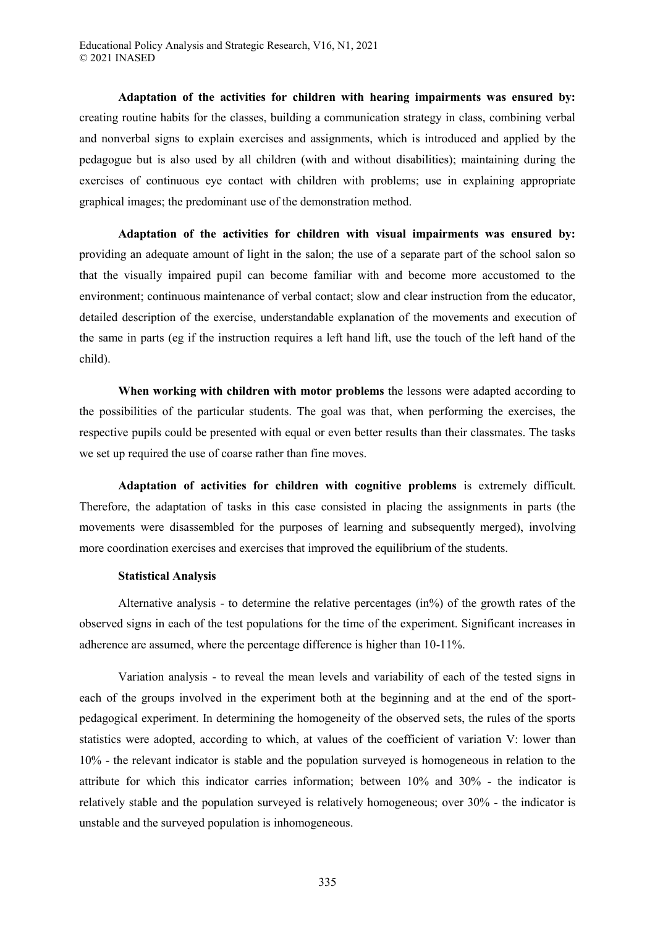**Adaptation of the activities for children with hearing impairments was ensured by:**  creating routine habits for the classes, building a communication strategy in class, combining verbal and nonverbal signs to explain exercises and assignments, which is introduced and applied by the pedagogue but is also used by all children (with and without disabilities); maintaining during the exercises of continuous eye contact with children with problems; use in explaining appropriate graphical images; the predominant use of the demonstration method.

**Adaptation of the activities for children with visual impairments was ensured by:** providing an adequate amount of light in the salon; the use of a separate part of the school salon so that the visually impaired pupil can become familiar with and become more accustomed to the environment; continuous maintenance of verbal contact; slow and clear instruction from the educator, detailed description of the exercise, understandable explanation of the movements and execution of the same in parts (eg if the instruction requires a left hand lift, use the touch of the left hand of the child).

**When working with children with motor problems** the lessons were adapted according to the possibilities of the particular students. The goal was that, when performing the exercises, the respective pupils could be presented with equal or even better results than their classmates. The tasks we set up required the use of coarse rather than fine moves.

**Adaptation of activities for children with cognitive problems** is extremely difficult. Therefore, the adaptation of tasks in this case consisted in placing the assignments in parts (the movements were disassembled for the purposes of learning and subsequently merged), involving more coordination exercises and exercises that improved the equilibrium of the students.

# **Statistical Analysis**

Alternative analysis - to determine the relative percentages (in%) of the growth rates of the observed signs in each of the test populations for the time of the experiment. Significant increases in adherence are assumed, where the percentage difference is higher than 10-11%.

Variation analysis - to reveal the mean levels and variability of each of the tested signs in each of the groups involved in the experiment both at the beginning and at the end of the sportpedagogical experiment. In determining the homogeneity of the observed sets, the rules of the sports statistics were adopted, according to which, at values of the coefficient of variation V: lower than 10% - the relevant indicator is stable and the population surveyed is homogeneous in relation to the attribute for which this indicator carries information; between 10% and 30% - the indicator is relatively stable and the population surveyed is relatively homogeneous; over 30% - the indicator is unstable and the surveyed population is inhomogeneous.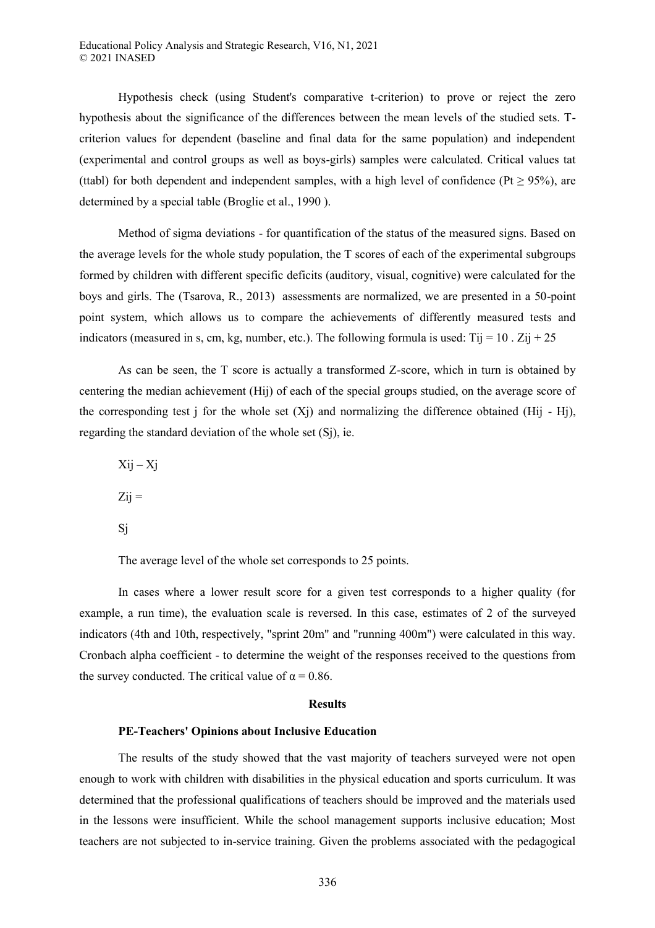Hypothesis check (using Student's comparative t-criterion) to prove or reject the zero hypothesis about the significance of the differences between the mean levels of the studied sets. Tcriterion values for dependent (baseline and final data for the same population) and independent (experimental and control groups as well as boys-girls) samples were calculated. Critical values tat (ttabl) for both dependent and independent samples, with a high level of confidence (Pt  $\geq$  95%), are determined by a special table (Broglie et al., 1990 ).

Method of sigma deviations - for quantification of the status of the measured signs. Based on the average levels for the whole study population, the T scores of each of the experimental subgroups formed by children with different specific deficits (auditory, visual, cognitive) were calculated for the boys and girls. The (Tsarova, R., 2013) assessments are normalized, we are presented in a 50-point point system, which allows us to compare the achievements of differently measured tests and indicators (measured in s, cm, kg, number, etc.). The following formula is used: Tij =  $10$ . Zij +  $25$ 

As can be seen, the T score is actually a transformed Z-score, which in turn is obtained by centering the median achievement (Hij) of each of the special groups studied, on the average score of the corresponding test j for the whole set  $(X<sub>j</sub>)$  and normalizing the difference obtained (Hij - Hj), regarding the standard deviation of the whole set (Sj), ie.

 $X$ ij –  $X$ j  $Z<sub>ij</sub> =$ Sj

The average level of the whole set corresponds to 25 points.

In cases where a lower result score for a given test corresponds to a higher quality (for example, a run time), the evaluation scale is reversed. In this case, estimates of 2 of the surveyed indicators (4th and 10th, respectively, "sprint 20m" and "running 400m") were calculated in this way. Cronbach alpha coefficient - to determine the weight of the responses received to the questions from the survey conducted. The critical value of  $\alpha = 0.86$ .

#### **Results**

#### **PE-Teachers' Opinions about Inclusive Education**

The results of the study showed that the vast majority of teachers surveyed were not open enough to work with children with disabilities in the physical education and sports curriculum. It was determined that the professional qualifications of teachers should be improved and the materials used in the lessons were insufficient. While the school management supports inclusive education; Most teachers are not subjected to in-service training. Given the problems associated with the pedagogical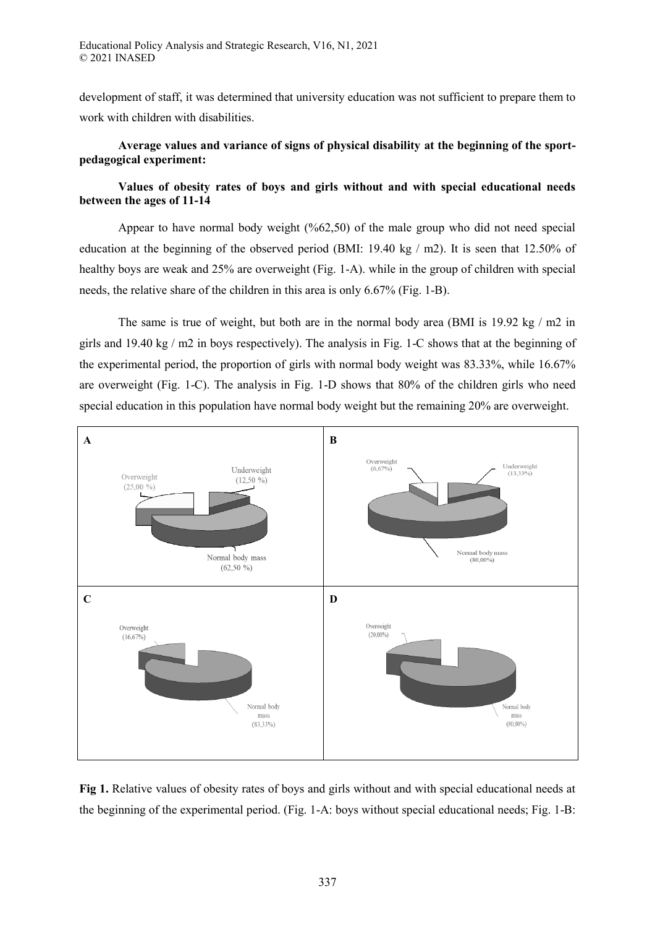development of staff, it was determined that university education was not sufficient to prepare them to work with children with disabilities.

# **Average values and variance of signs of physical disability at the beginning of the sportpedagogical experiment:**

# **Values of obesity rates of boys and girls without and with special educational needs between the ages of 11-14**

Appear to have normal body weight (%62,50) of the male group who did not need special education at the beginning of the observed period (BMI: 19.40 kg / m2). It is seen that 12.50% of healthy boys are weak and 25% are overweight (Fig. 1-A). while in the group of children with special needs, the relative share of the children in this area is only 6.67% (Fig. 1-B).

The same is true of weight, but both are in the normal body area (BMI is  $19.92 \text{ kg} / \text{m2}$  in girls and 19.40 kg / m2 in boys respectively). The analysis in Fig. 1-C shows that at the beginning of the experimental period, the proportion of girls with normal body weight was 83.33%, while 16.67% are overweight (Fig. 1-C). The analysis in Fig. 1-D shows that 80% of the children girls who need special education in this population have normal body weight but the remaining 20% are overweight.



**Fig 1.** Relative values of obesity rates of boys and girls without and with special educational needs at the beginning of the experimental period. (Fig. 1-A: boys without special educational needs; Fig. 1-B: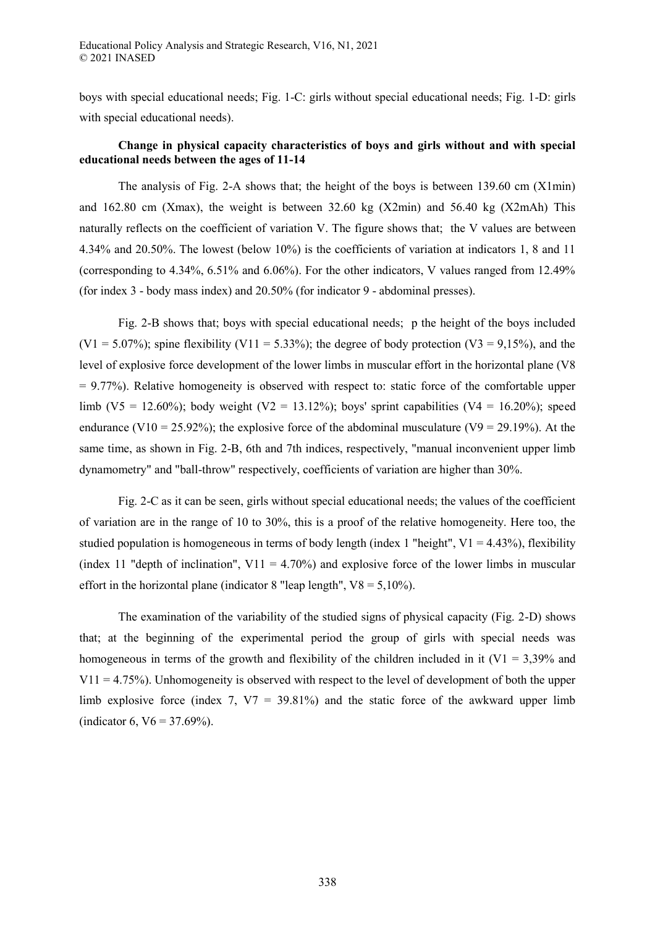boys with special educational needs; Fig. 1-C: girls without special educational needs; Fig. 1-D: girls with special educational needs).

# **Change in physical capacity characteristics of boys and girls without and with special educational needs between the ages of 11-14**

The analysis of Fig. 2-A shows that; the height of the boys is between 139.60 cm (X1min) and 162.80 cm (Xmax), the weight is between 32.60 kg (X2min) and 56.40 kg (X2mAh) This naturally reflects on the coefficient of variation V. The figure shows that; the V values are between 4.34% and 20.50%. The lowest (below 10%) is the coefficients of variation at indicators 1, 8 and 11 (corresponding to 4.34%, 6.51% and 6.06%). For the other indicators, V values ranged from 12.49% (for index 3 - body mass index) and 20.50% (for indicator 9 - abdominal presses).

Fig. 2-B shows that; boys with special educational needs; р the height of the boys included  $(V1 = 5.07\%)$ ; spine flexibility  $(V11 = 5.33\%)$ ; the degree of body protection  $(V3 = 9.15\%)$ , and the level of explosive force development of the lower limbs in muscular effort in the horizontal plane (V8  $= 9.77\%$ ). Relative homogeneity is observed with respect to: static force of the comfortable upper limb (V5 = 12.60%); body weight (V2 = 13.12%); boys' sprint capabilities (V4 = 16.20%); speed endurance (V10 = 25.92%); the explosive force of the abdominal musculature (V9 = 29.19%). At the same time, as shown in Fig. 2-B, 6th and 7th indices, respectively, "manual inconvenient upper limb dynamometry" and "ball-throw" respectively, coefficients of variation are higher than 30%.

Fig. 2-C as it can be seen, girls without special educational needs; the values of the coefficient of variation are in the range of 10 to 30%, this is a proof of the relative homogeneity. Here too, the studied population is homogeneous in terms of body length (index 1 "height",  $V1 = 4.43\%$ ), flexibility (index 11 "depth of inclination",  $V11 = 4.70\%$ ) and explosive force of the lower limbs in muscular effort in the horizontal plane (indicator 8 "leap length",  $V8 = 5,10\%$ ).

The examination of the variability of the studied signs of physical capacity (Fig. 2-D) shows that; at the beginning of the experimental period the group of girls with special needs was homogeneous in terms of the growth and flexibility of the children included in it ( $V1 = 3,39\%$  and  $V11 = 4.75\%$ ). Unhomogeneity is observed with respect to the level of development of both the upper limb explosive force (index 7,  $V7 = 39.81\%$ ) and the static force of the awkward upper limb (indicator 6,  $V6 = 37.69\%$ ).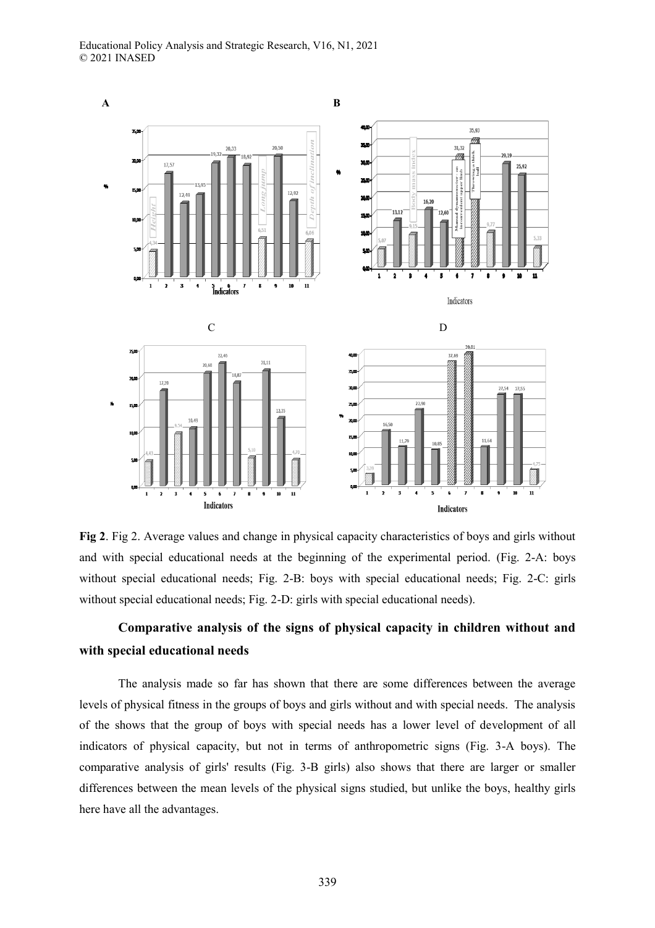

**Fig 2**. Fig 2. Average values and change in physical capacity characteristics of boys and girls without and with special educational needs at the beginning of the experimental period. (Fig. 2-A: boys without special educational needs; Fig. 2-B: boys with special educational needs; Fig. 2-C: girls without special educational needs; Fig. 2-D: girls with special educational needs).

# **Comparative analysis of the signs of physical capacity in children without and with special educational needs**

The analysis made so far has shown that there are some differences between the average levels of physical fitness in the groups of boys and girls without and with special needs. The analysis of the shows that the group of boys with special needs has a lower level of development of all indicators of physical capacity, but not in terms of anthropometric signs (Fig. 3-A boys). The comparative analysis of girls' results (Fig. 3-B girls) also shows that there are larger or smaller differences between the mean levels of the physical signs studied, but unlike the boys, healthy girls here have all the advantages.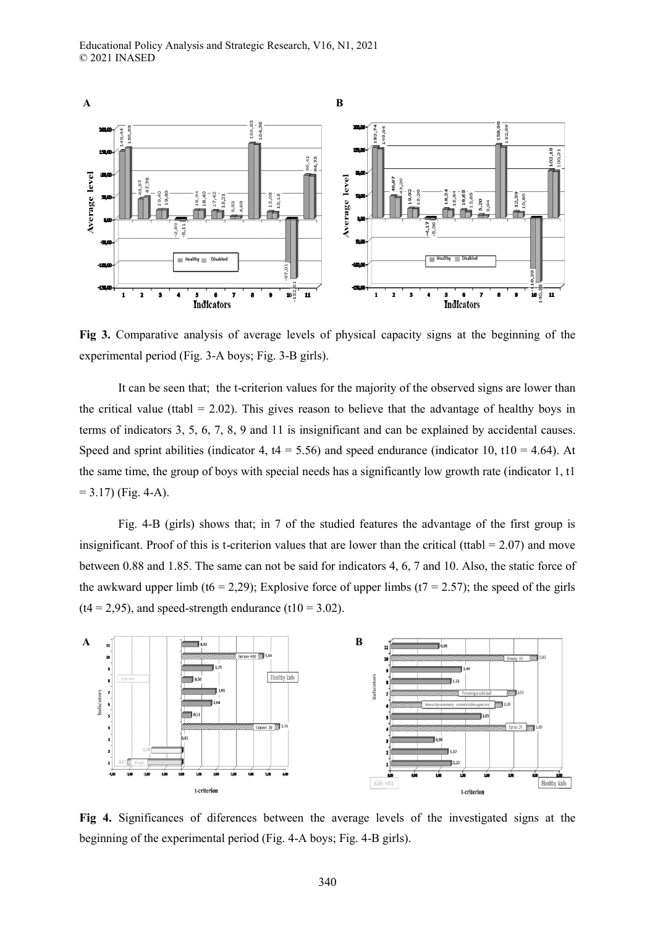

**Fig 3.** Comparative analysis of average levels of physical capacity signs at the beginning of the experimental period (Fig. 3-A boys; Fig. 3-B girls).

It can be seen that; the t-criterion values for the majority of the observed signs are lower than the critical value (ttabl  $= 2.02$ ). This gives reason to believe that the advantage of healthy boys in terms of indicators 3, 5, 6, 7, 8, 9 and 11 is insignificant and can be explained by accidental causes. Speed and sprint abilities (indicator 4,  $t4 = 5.56$ ) and speed endurance (indicator 10,  $t10 = 4.64$ ). At the same time, the group of boys with special needs has a significantly low growth rate (indicator 1, t1  $= 3.17$ ) (Fig. 4-A).

Fig. 4-B (girls) shows that; in 7 of the studied features the advantage of the first group is insignificant. Proof of this is t-criterion values that are lower than the critical (ttabl  $= 2.07$ ) and move between 0.88 and 1.85. The same can not be said for indicators 4, 6, 7 and 10. Also, the static force of the awkward upper limb (t6 = 2,29); Explosive force of upper limbs (t7 = 2.57); the speed of the girls  $(t4 = 2.95)$ , and speed-strength endurance  $(t10 = 3.02)$ .



**Fig 4.** Significances of diferences between the average levels of the investigated signs at the beginning of the experimental period (Fig. 4-A boys; Fig. 4-B girls).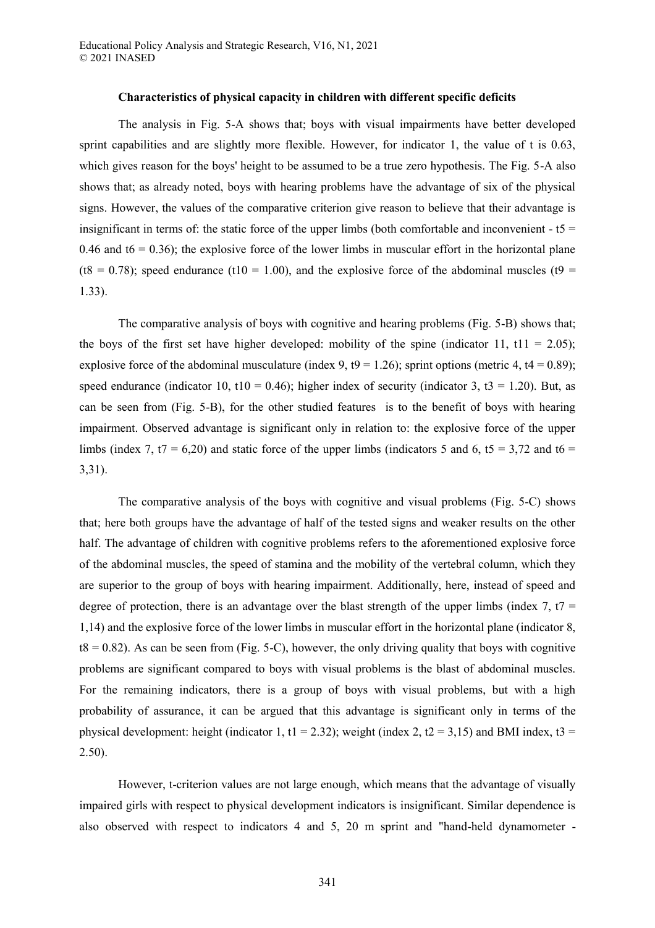### **Characteristics of physical capacity in children with different specific deficits**

The analysis in Fig. 5-A shows that; boys with visual impairments have better developed sprint capabilities and are slightly more flexible. However, for indicator 1, the value of t is 0.63, which gives reason for the boys' height to be assumed to be a true zero hypothesis. The Fig. 5-A also shows that; as already noted, boys with hearing problems have the advantage of six of the physical signs. However, the values of the comparative criterion give reason to believe that their advantage is insignificant in terms of: the static force of the upper limbs (both comfortable and inconvenient  $- t =$ 0.46 and t6 = 0.36); the explosive force of the lower limbs in muscular effort in the horizontal plane (t8 = 0.78); speed endurance (t10 = 1.00), and the explosive force of the abdominal muscles (t9 = 1.33).

The comparative analysis of boys with cognitive and hearing problems (Fig. 5-B) shows that; the boys of the first set have higher developed: mobility of the spine (indicator 11,  $t11 = 2.05$ ); explosive force of the abdominal musculature (index 9,  $t9 = 1.26$ ); sprint options (metric 4,  $t4 = 0.89$ ); speed endurance (indicator 10, t10 = 0.46); higher index of security (indicator 3, t3 = 1.20). But, as can be seen from (Fig. 5-B), for the other studied features is to the benefit of boys with hearing impairment. Observed advantage is significant only in relation to: the explosive force of the upper limbs (index 7, t7 = 6,20) and static force of the upper limbs (indicators 5 and 6, t5 = 3,72 and t6 = 3,31).

The comparative analysis of the boys with cognitive and visual problems (Fig. 5-C) shows that; here both groups have the advantage of half of the tested signs and weaker results on the other half. The advantage of children with cognitive problems refers to the aforementioned explosive force of the abdominal muscles, the speed of stamina and the mobility of the vertebral column, which they are superior to the group of boys with hearing impairment. Additionally, here, instead of speed and degree of protection, there is an advantage over the blast strength of the upper limbs (index 7,  $t7 =$ 1,14) and the explosive force of the lower limbs in muscular effort in the horizontal plane (indicator 8,  $t8 = 0.82$ ). As can be seen from (Fig. 5-C), however, the only driving quality that boys with cognitive problems are significant compared to boys with visual problems is the blast of abdominal muscles. For the remaining indicators, there is a group of boys with visual problems, but with a high probability of assurance, it can be argued that this advantage is significant only in terms of the physical development: height (indicator 1, t1 = 2.32); weight (index 2, t2 = 3,15) and BMI index, t3 = 2.50).

However, t-criterion values are not large enough, which means that the advantage of visually impaired girls with respect to physical development indicators is insignificant. Similar dependence is also observed with respect to indicators 4 and 5, 20 m sprint and "hand-held dynamometer -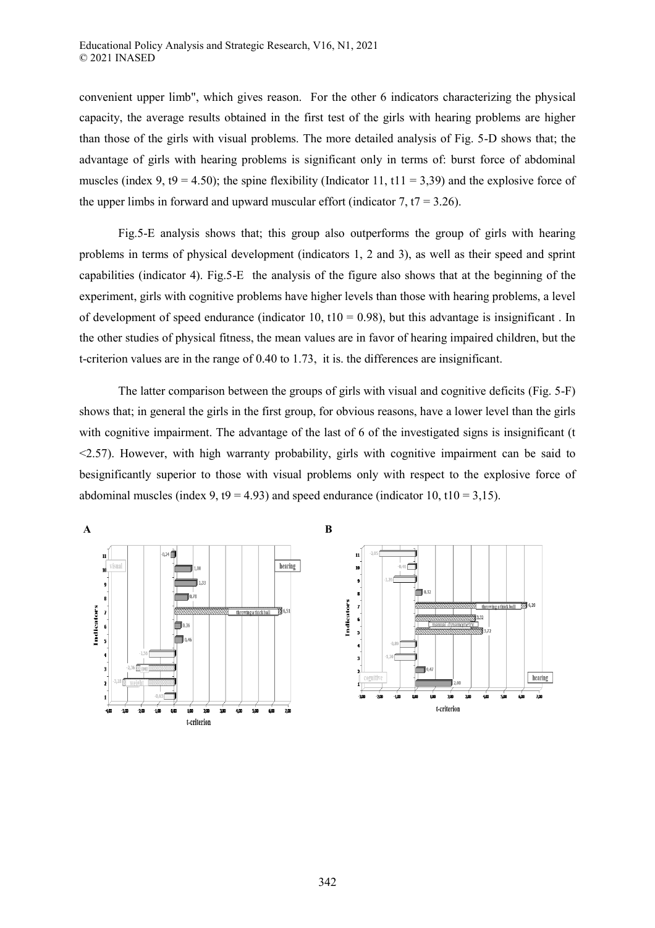convenient upper limb", which gives reason. For the other 6 indicators characterizing the physical capacity, the average results obtained in the first test of the girls with hearing problems are higher than those of the girls with visual problems. The more detailed analysis of Fig. 5-D shows that; the advantage of girls with hearing problems is significant only in terms of: burst force of abdominal muscles (index 9, t9 = 4.50); the spine flexibility (Indicator 11, t11 = 3,39) and the explosive force of the upper limbs in forward and upward muscular effort (indicator 7,  $t7 = 3.26$ ).

Fig.5-E analysis shows that; this group also outperforms the group of girls with hearing problems in terms of physical development (indicators 1, 2 and 3), as well as their speed and sprint capabilities (indicator 4). Fig.5-E the analysis of the figure also shows that at the beginning of the experiment, girls with cognitive problems have higher levels than those with hearing problems, a level of development of speed endurance (indicator 10,  $t10 = 0.98$ ), but this advantage is insignificant. In the other studies of physical fitness, the mean values are in favor of hearing impaired children, but the t-criterion values are in the range of 0.40 to 1.73, it is. the differences are insignificant.

The latter comparison between the groups of girls with visual and cognitive deficits (Fig. 5-F) shows that; in general the girls in the first group, for obvious reasons, have a lower level than the girls with cognitive impairment. The advantage of the last of 6 of the investigated signs is insignificant (t <2.57). However, with high warranty probability, girls with cognitive impairment can be said to besignificantly superior to those with visual problems only with respect to the explosive force of abdominal muscles (index 9,  $t9 = 4.93$ ) and speed endurance (indicator 10,  $t10 = 3.15$ ).

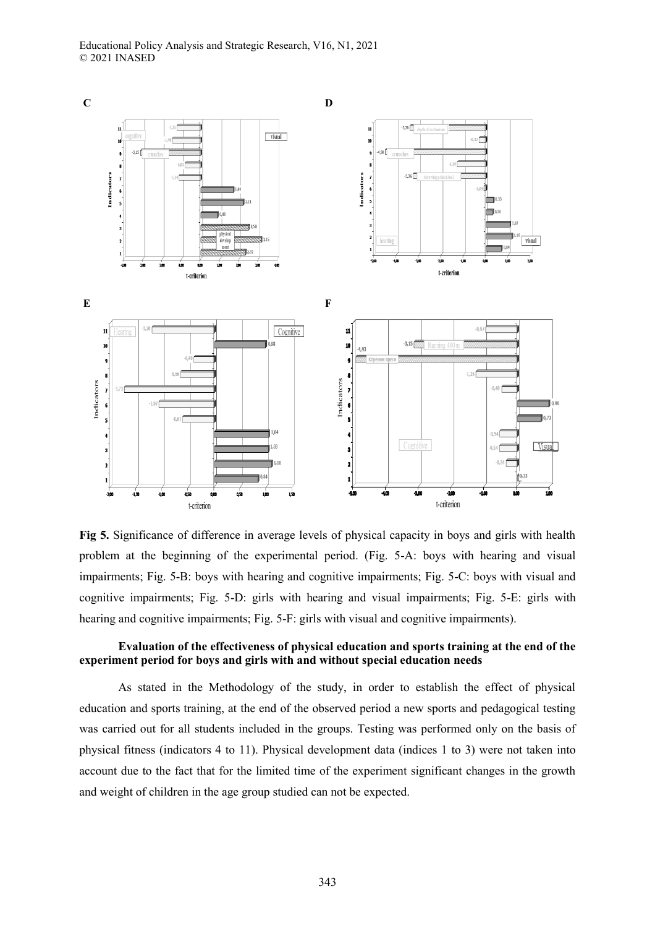

**Fig 5.** Significance of difference in average levels of physical capacity in boys and girls with health problem at the beginning of the experimental period. (Fig. 5-A: boys with hearing and visual impairments; Fig. 5-B: boys with hearing and cognitive impairments; Fig. 5-C: boys with visual and cognitive impairments; Fig. 5-D: girls with hearing and visual impairments; Fig. 5-E: girls with hearing and cognitive impairments; Fig. 5-F: girls with visual and cognitive impairments).

# **Evaluation of the effectiveness of physical education and sports training at the end of the experiment period for boys and girls with and without special education needs**

As stated in the Methodology of the study, in order to establish the effect of physical education and sports training, at the end of the observed period a new sports and pedagogical testing was carried out for all students included in the groups. Testing was performed only on the basis of physical fitness (indicators 4 to 11). Physical development data (indices 1 to 3) were not taken into account due to the fact that for the limited time of the experiment significant changes in the growth and weight of children in the age group studied can not be expected.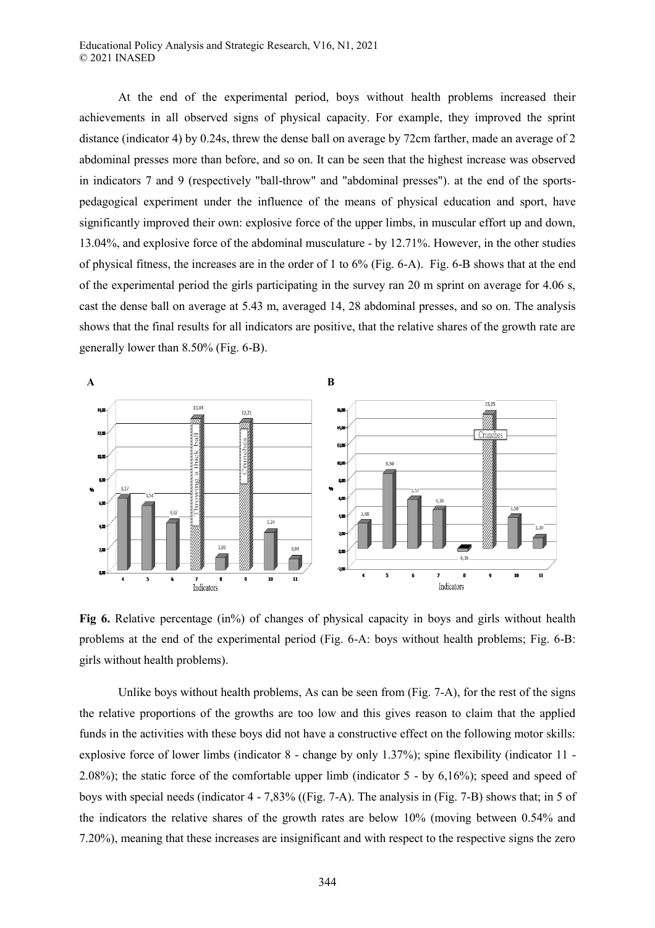At the end of the experimental period, boys without health problems increased their achievements in all observed signs of physical capacity. For example, they improved the sprint distance (indicator 4) by 0.24s, threw the dense ball on average by 72cm farther, made an average of 2 abdominal presses more than before, and so on. It can be seen that the highest increase was observed in indicators 7 and 9 (respectively "ball-throw" and "abdominal presses"). at the end of the sportspedagogical experiment under the influence of the means of physical education and sport, have significantly improved their own: explosive force of the upper limbs, in muscular effort up and down, 13.04%, and explosive force of the abdominal musculature - by 12.71%. However, in the other studies of physical fitness, the increases are in the order of 1 to 6% (Fig. 6-A). Fig. 6-B shows that at the end of the experimental period the girls participating in the survey ran 20 m sprint on average for 4.06 s, cast the dense ball on average at 5.43 m, averaged 14, 28 abdominal presses, and so on. The analysis shows that the final results for all indicators are positive, that the relative shares of the growth rate are generally lower than 8.50% (Fig. 6-B).



**Fig 6.** Relative percentage (in%) of changes of physical capacity in boys and girls without health problems at the end of the experimental period (Fig. 6-A: boys without health problems; Fig. 6-B: girls without health problems).

Unlike boys without health problems, As can be seen from (Fig. 7-A), for the rest of the signs the relative proportions of the growths are too low and this gives reason to claim that the applied funds in the activities with these boys did not have a constructive effect on the following motor skills: explosive force of lower limbs (indicator 8 - change by only 1.37%); spine flexibility (indicator 11 - 2.08%); the static force of the comfortable upper limb (indicator 5 - by 6,16%); speed and speed of boys with special needs (indicator 4 - 7,83% ((Fig. 7-A). The analysis in (Fig. 7-B) shows that; in 5 of the indicators the relative shares of the growth rates are below 10% (moving between 0.54% and 7.20%), meaning that these increases are insignificant and with respect to the respective signs the zero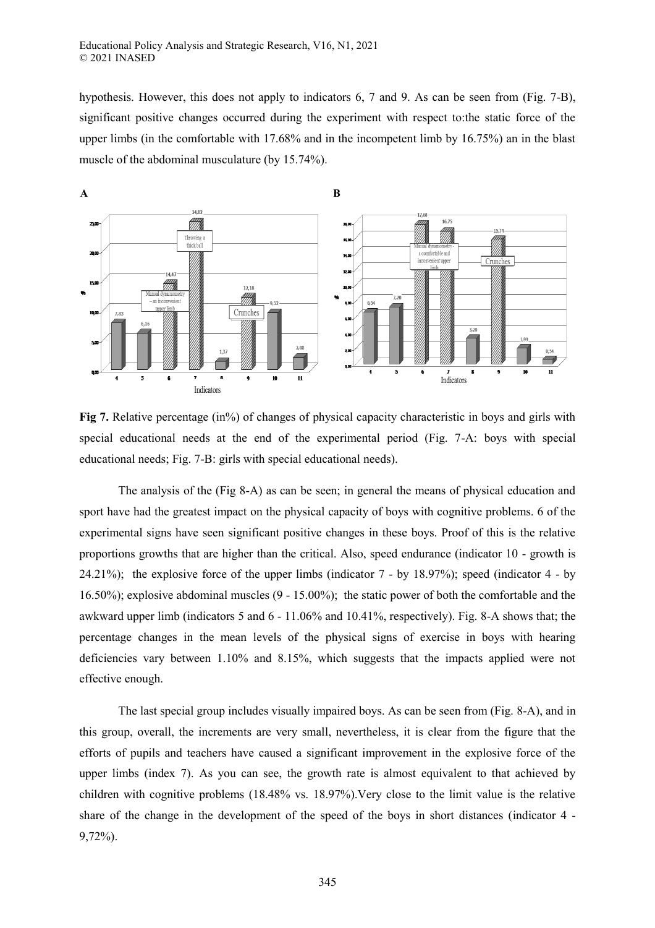hypothesis. However, this does not apply to indicators 6, 7 and 9. As can be seen from (Fig. 7-B), significant positive changes occurred during the experiment with respect to:the static force of the upper limbs (in the comfortable with 17.68% and in the incompetent limb by 16.75%) an in the blast muscle of the abdominal musculature (by 15.74%).



**Fig 7.** Relative percentage (in%) of changes of physical capacity characteristic in boys and girls with special educational needs at the end of the experimental period (Fig. 7-A: boys with special educational needs; Fig. 7-B: girls with special educational needs).

The analysis of the (Fig 8-A) as can be seen; in general the means of physical education and sport have had the greatest impact on the physical capacity of boys with cognitive problems. 6 of the experimental signs have seen significant positive changes in these boys. Proof of this is the relative proportions growths that are higher than the critical. Also, speed endurance (indicator 10 - growth is 24.21%); the explosive force of the upper limbs (indicator 7 - by 18.97%); speed (indicator 4 - by 16.50%); explosive abdominal muscles (9 - 15.00%); the static power of both the comfortable and the awkward upper limb (indicators 5 and 6 - 11.06% and 10.41%, respectively). Fig. 8-A shows that; the percentage changes in the mean levels of the physical signs of exercise in boys with hearing deficiencies vary between 1.10% and 8.15%, which suggests that the impacts applied were not effective enough.

The last special group includes visually impaired boys. As can be seen from (Fig. 8-A), and in this group, overall, the increments are very small, nevertheless, it is clear from the figure that the efforts of pupils and teachers have caused a significant improvement in the explosive force of the upper limbs (index 7). As you can see, the growth rate is almost equivalent to that achieved by children with cognitive problems (18.48% vs. 18.97%).Very close to the limit value is the relative share of the change in the development of the speed of the boys in short distances (indicator 4 - 9,72%).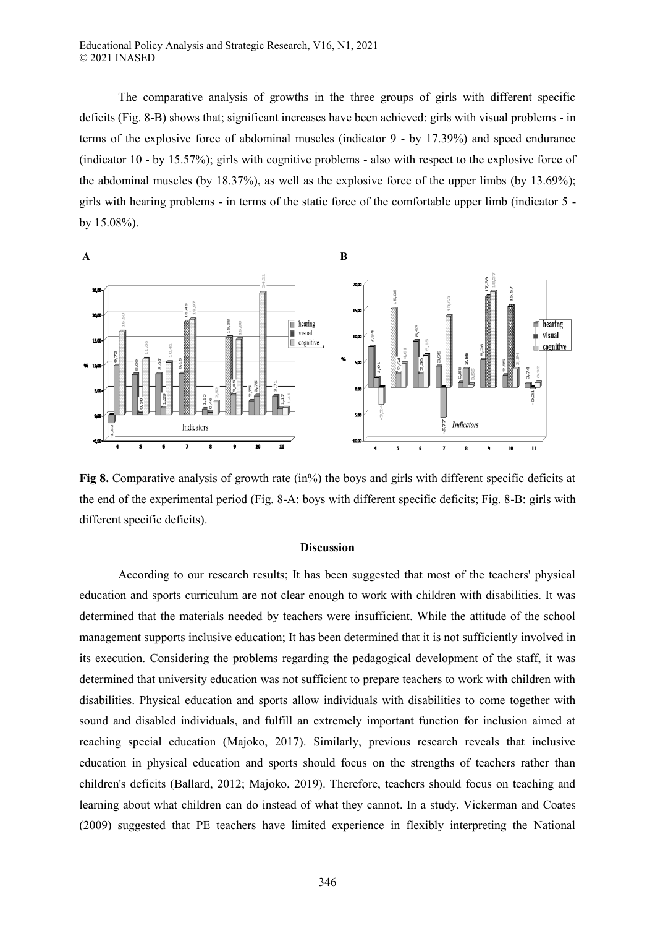Educational Policy Analysis and Strategic Research, V16, N1, 2021 © 2021 INASED

The comparative analysis of growths in the three groups of girls with different specific deficits (Fig. 8-B) shows that; significant increases have been achieved: girls with visual problems - in terms of the explosive force of abdominal muscles (indicator 9 - by 17.39%) and speed endurance (indicator 10 - by 15.57%); girls with cognitive problems - also with respect to the explosive force of the abdominal muscles (by 18.37%), as well as the explosive force of the upper limbs (by 13.69%); girls with hearing problems - in terms of the static force of the comfortable upper limb (indicator 5 by 15.08%).



**Fig 8.** Comparative analysis of growth rate (in%) the boys and girls with different specific deficits at the end of the experimental period (Fig. 8-A: boys with different specific deficits; Fig. 8-B: girls with different specific deficits).

### **Discussion**

According to our research results; It has been suggested that most of the teachers' physical education and sports curriculum are not clear enough to work with children with disabilities. It was determined that the materials needed by teachers were insufficient. While the attitude of the school management supports inclusive education; It has been determined that it is not sufficiently involved in its execution. Considering the problems regarding the pedagogical development of the staff, it was determined that university education was not sufficient to prepare teachers to work with children with disabilities. Physical education and sports allow individuals with disabilities to come together with sound and disabled individuals, and fulfill an extremely important function for inclusion aimed at reaching special education (Majoko, 2017). Similarly, previous research reveals that inclusive education in physical education and sports should focus on the strengths of teachers rather than children's deficits (Ballard, 2012; Majoko, 2019). Therefore, teachers should focus on teaching and learning about what children can do instead of what they cannot. In a study, Vickerman and Coates (2009) suggested that PE teachers have limited experience in flexibly interpreting the National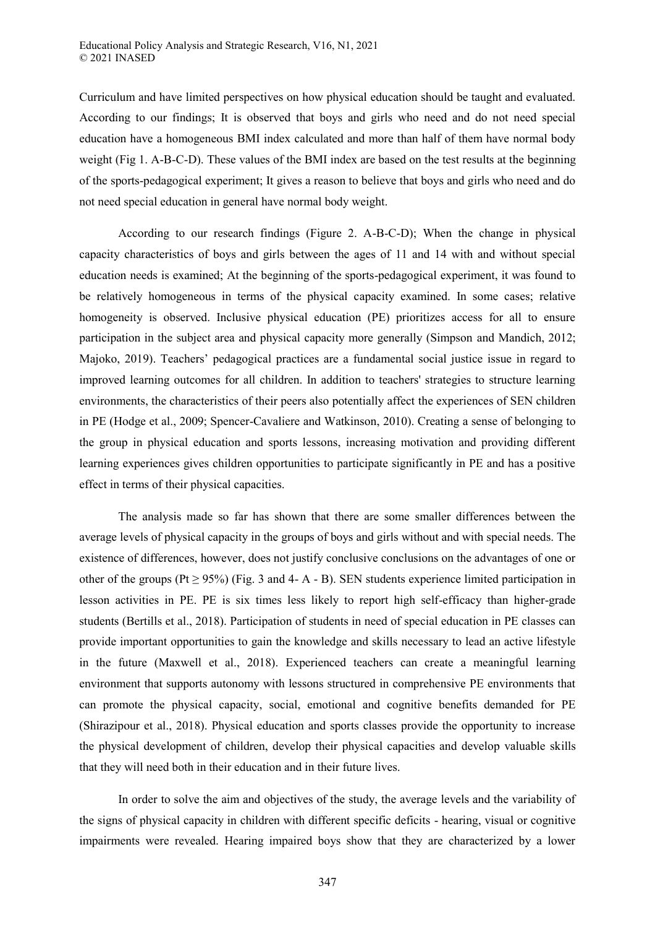Curriculum and have limited perspectives on how physical education should be taught and evaluated. According to our findings; It is observed that boys and girls who need and do not need special education have a homogeneous BMI index calculated and more than half of them have normal body weight (Fig 1. A-B-C-D). These values of the BMI index are based on the test results at the beginning of the sports-pedagogical experiment; It gives a reason to believe that boys and girls who need and do not need special education in general have normal body weight.

According to our research findings (Figure 2. A-B-C-D); When the change in physical capacity characteristics of boys and girls between the ages of 11 and 14 with and without special education needs is examined; At the beginning of the sports-pedagogical experiment, it was found to be relatively homogeneous in terms of the physical capacity examined. In some cases; relative homogeneity is observed. Inclusive physical education (PE) prioritizes access for all to ensure participation in the subject area and physical capacity more generally (Simpson and Mandich, 2012; Majoko, 2019). Teachers' pedagogical practices are a fundamental social justice issue in regard to improved learning outcomes for all children. In addition to teachers' strategies to structure learning environments, the characteristics of their peers also potentially affect the experiences of SEN children in PE (Hodge et al., 2009; Spencer-Cavaliere and Watkinson, 2010). Creating a sense of belonging to the group in physical education and sports lessons, increasing motivation and providing different learning experiences gives children opportunities to participate significantly in PE and has a positive effect in terms of their physical capacities.

The analysis made so far has shown that there are some smaller differences between the average levels of physical capacity in the groups of boys and girls without and with special needs. The existence of differences, however, does not justify conclusive conclusions on the advantages of one or other of the groups (Pt  $\geq$  95%) (Fig. 3 and 4- A - B). SEN students experience limited participation in lesson activities in PE. PE is six times less likely to report high self-efficacy than higher-grade students (Bertills et al., 2018). Participation of students in need of special education in PE classes can provide important opportunities to gain the knowledge and skills necessary to lead an active lifestyle in the future (Maxwell et al., 2018). Experienced teachers can create a meaningful learning environment that supports autonomy with lessons structured in comprehensive PE environments that can promote the physical capacity, social, emotional and cognitive benefits demanded for PE (Shirazipour et al., 2018). Physical education and sports classes provide the opportunity to increase the physical development of children, develop their physical capacities and develop valuable skills that they will need both in their education and in their future lives.

In order to solve the aim and objectives of the study, the average levels and the variability of the signs of physical capacity in children with different specific deficits - hearing, visual or cognitive impairments were revealed. Hearing impaired boys show that they are characterized by a lower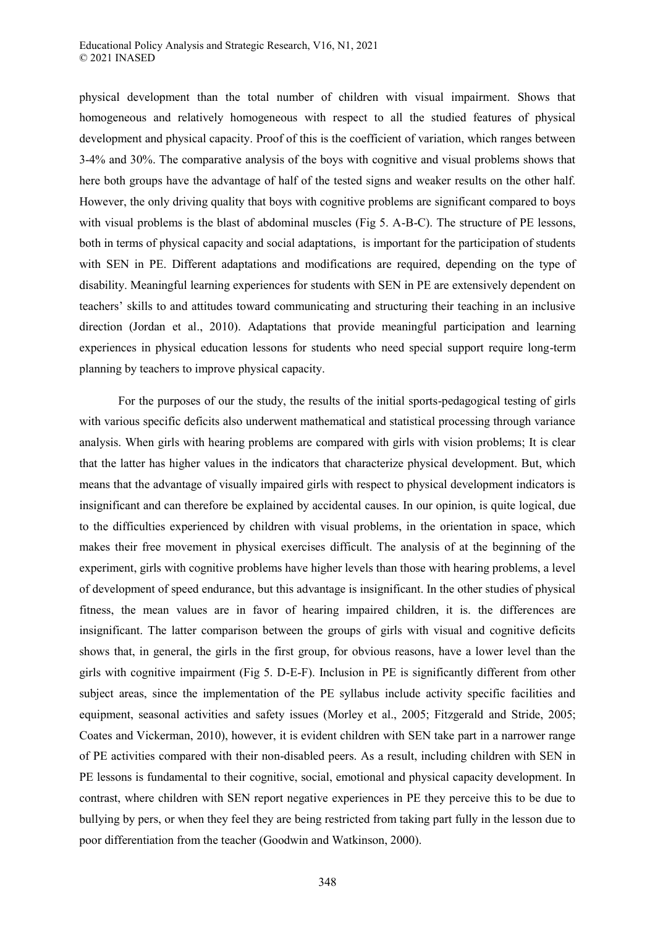physical development than the total number of children with visual impairment. Shows that homogeneous and relatively homogeneous with respect to all the studied features of physical development and physical capacity. Proof of this is the coefficient of variation, which ranges between 3-4% and 30%. The comparative analysis of the boys with cognitive and visual problems shows that here both groups have the advantage of half of the tested signs and weaker results on the other half. However, the only driving quality that boys with cognitive problems are significant compared to boys with visual problems is the blast of abdominal muscles (Fig 5. A-B-C). The structure of PE lessons, both in terms of physical capacity and social adaptations, is important for the participation of students with SEN in PE. Different adaptations and modifications are required, depending on the type of disability. Meaningful learning experiences for students with SEN in PE are extensively dependent on teachers' skills to and attitudes toward communicating and structuring their teaching in an inclusive direction (Jordan et al., 2010). Adaptations that provide meaningful participation and learning experiences in physical education lessons for students who need special support require long-term planning by teachers to improve physical capacity.

For the purposes of our the study, the results of the initial sports-pedagogical testing of girls with various specific deficits also underwent mathematical and statistical processing through variance analysis. When girls with hearing problems are compared with girls with vision problems; It is clear that the latter has higher values in the indicators that characterize physical development. But, which means that the advantage of visually impaired girls with respect to physical development indicators is insignificant and can therefore be explained by accidental causes. In our opinion, is quite logical, due to the difficulties experienced by children with visual problems, in the orientation in space, which makes their free movement in physical exercises difficult. The analysis of at the beginning of the experiment, girls with cognitive problems have higher levels than those with hearing problems, a level of development of speed endurance, but this advantage is insignificant. In the other studies of physical fitness, the mean values are in favor of hearing impaired children, it is. the differences are insignificant. The latter comparison between the groups of girls with visual and cognitive deficits shows that, in general, the girls in the first group, for obvious reasons, have a lower level than the girls with cognitive impairment (Fig 5. D-E-F). Inclusion in PE is significantly different from other subject areas, since the implementation of the PE syllabus include activity specific facilities and equipment, seasonal activities and safety issues (Morley et al., 2005; Fitzgerald and Stride, 2005; Coates and Vickerman, 2010), however, it is evident children with SEN take part in a narrower range of PE activities compared with their non-disabled peers. As a result, including children with SEN in PE lessons is fundamental to their cognitive, social, emotional and physical capacity development. In contrast, where children with SEN report negative experiences in PE they perceive this to be due to bullying by pers, or when they feel they are being restricted from taking part fully in the lesson due to poor differentiation from the teacher (Goodwin and Watkinson, 2000).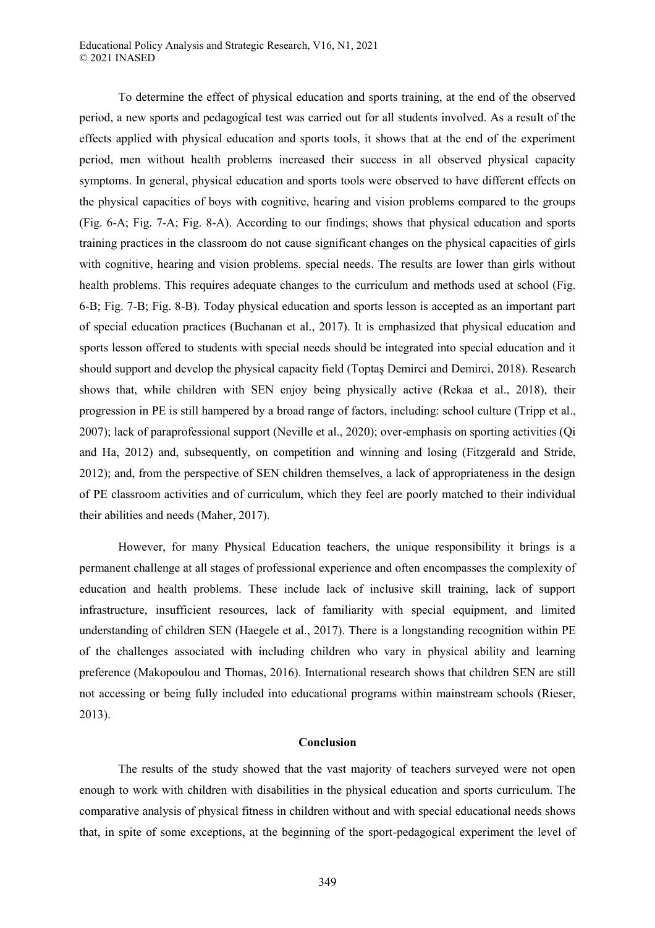Educational Policy Analysis and Strategic Research, V16, N1, 2021 © 2021 INASED

To determine the effect of physical education and sports training, at the end of the observed period, a new sports and pedagogical test was carried out for all students involved. As a result of the effects applied with physical education and sports tools, it shows that at the end of the experiment period, men without health problems increased their success in all observed physical capacity symptoms. In general, physical education and sports tools were observed to have different effects on the physical capacities of boys with cognitive, hearing and vision problems compared to the groups (Fig. 6-A; Fig. 7-A; Fig. 8-A). According to our findings; shows that physical education and sports training practices in the classroom do not cause significant changes on the physical capacities of girls with cognitive, hearing and vision problems. special needs. The results are lower than girls without health problems. This requires adequate changes to the curriculum and methods used at school (Fig. 6-B; Fig. 7-B; Fig. 8-B). Today physical education and sports lesson is accepted as an important part of special education practices (Buchanan et al., 2017). It is emphasized that physical education and sports lesson offered to students with special needs should be integrated into special education and it should support and develop the physical capacity field (Toptaş Demirci and Demirci, 2018). Research shows that, while children with SEN enjoy being physically active (Rekaa et al., 2018), their progression in PE is still hampered by a broad range of factors, including: school culture (Tripp et al., 2007); lack of paraprofessional support (Neville et al., 2020); over-emphasis on sporting activities (Qi and Ha, 2012) and, subsequently, on competition and winning and losing (Fitzgerald and Stride, 2012); and, from the perspective of SEN children themselves, a lack of appropriateness in the design of PE classroom activities and of curriculum, which they feel are poorly matched to their individual their abilities and needs (Maher, 2017).

However, for many Physical Education teachers, the unique responsibility it brings is a permanent challenge at all stages of professional experience and often encompasses the complexity of education and health problems. These include lack of inclusive skill training, lack of support infrastructure, insufficient resources, lack of familiarity with special equipment, and limited understanding of children SEN (Haegele et al., 2017). There is a longstanding recognition within PE of the challenges associated with including children who vary in physical ability and learning preference (Makopoulou and Thomas, 2016). International research shows that children SEN are still not accessing or being fully included into educational programs within mainstream schools (Rieser, 2013).

## **Conclusion**

The results of the study showed that the vast majority of teachers surveyed were not open enough to work with children with disabilities in the physical education and sports curriculum. The comparative analysis of physical fitness in children without and with special educational needs shows that, in spite of some exceptions, at the beginning of the sport-pedagogical experiment the level of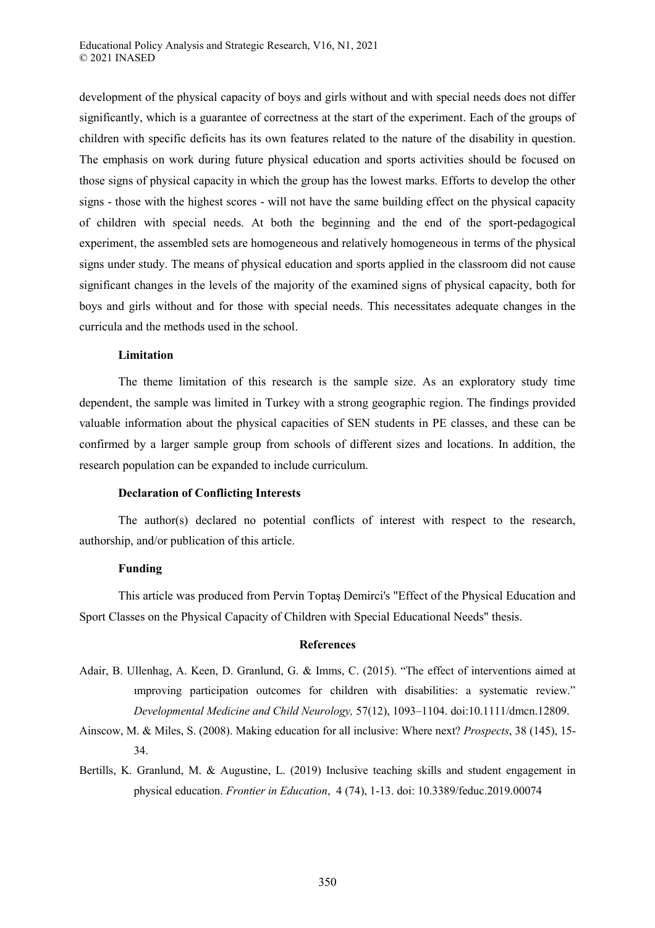development of the physical capacity of boys and girls without and with special needs does not differ significantly, which is a guarantee of correctness at the start of the experiment. Each of the groups of children with specific deficits has its own features related to the nature of the disability in question. The emphasis on work during future physical education and sports activities should be focused on those signs of physical capacity in which the group has the lowest marks. Efforts to develop the other signs - those with the highest scores - will not have the same building effect on the physical capacity of children with special needs. At both the beginning and the end of the sport-pedagogical experiment, the assembled sets are homogeneous and relatively homogeneous in terms of the physical signs under study. The means of physical education and sports applied in the classroom did not cause significant changes in the levels of the majority of the examined signs of physical capacity, both for boys and girls without and for those with special needs. This necessitates adequate changes in the curricula and the methods used in the school.

### **Limitation**

The theme limitation of this research is the sample size. As an exploratory study time dependent, the sample was limited in Turkey with a strong geographic region. The findings provided valuable information about the physical capacities of SEN students in PE classes, and these can be confirmed by a larger sample group from schools of different sizes and locations. In addition, the research population can be expanded to include curriculum.

#### **Declaration of Conflicting Interests**

The author(s) declared no potential conflicts of interest with respect to the research, authorship, and/or publication of this article.

#### **Funding**

This article was produced from Pervin Toptaş Demirci's "Effect of the Physical Education and Sport Classes on the Physical Capacity of Children with Special Educational Needs" thesis.

# **References**

- Adair, B. Ullenhag, A. Keen, D. Granlund, G. & Imms, C. (2015). "The effect of interventions aimed at ımproving participation outcomes for children with disabilities: a systematic review." *Developmental Medicine and Child Neurology,* 57(12), 1093–1104. doi:10.1111/dmcn.12809.
- Ainscow, M. & Miles, S. (2008). Making education for all inclusive: Where next? *Prospects*, 38 (145), 15- 34.
- Bertills, K. Granlund, M. & Augustine, L. (2019) Inclusive teaching skills and student engagement in physical education. *Frontier in Education*, 4 (74), 1-13. doi: 10.3389/feduc.2019.00074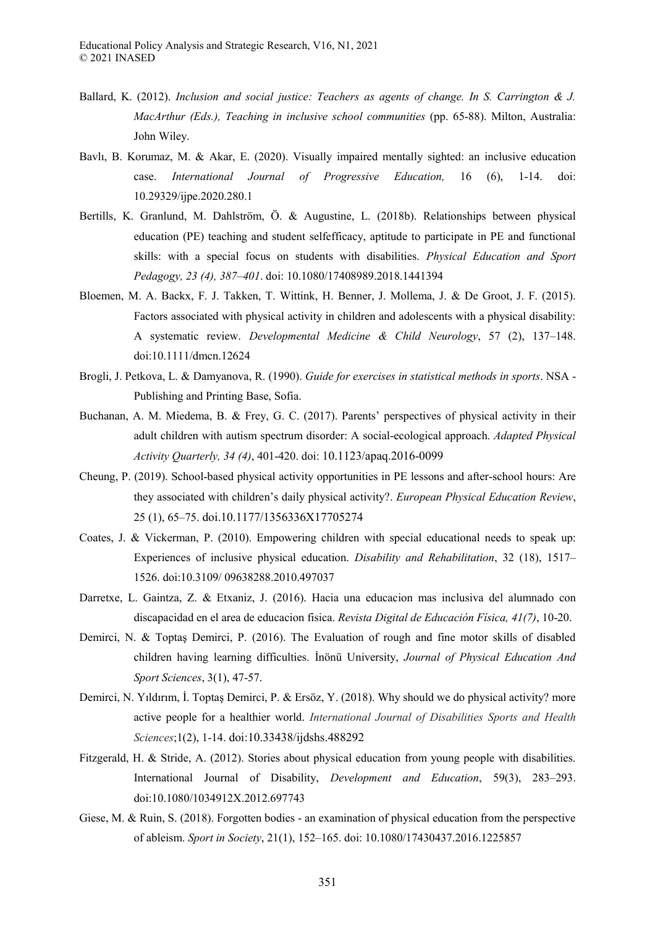- Ballard, K. (2012). *Inclusion and social justice: Teachers as agents of change. In S. Carrington & J. MacArthur (Eds.), Teaching in inclusive school communities* (pp. 65-88). Milton, Australia: John Wiley.
- Bavlı, B. Korumaz, M. & Akar, E. (2020). Visually impaired mentally sighted: an inclusive education case. *International Journal of Progressive Education,* 16 (6), 1-14. doi: 10.29329/ijpe.2020.280.1
- Bertills, K. Granlund, M. Dahlström, Ö. & Augustine, L. (2018b). Relationships between physical education (PE) teaching and student selfefficacy, aptitude to participate in PE and functional skills: with a special focus on students with disabilities. *Physical Education and Sport Pedagogy, 23 (4), 387–401*. doi: 10.1080/17408989.2018.1441394
- Bloemen, M. A. Backx, F. J. Takken, T. Wittink, H. Benner, J. Mollema, J. & De Groot, J. F. (2015). Factors associated with physical activity in children and adolescents with a physical disability: A systematic review. *Developmental Medicine & Child Neurology*, 57 (2), 137–148. doi:10.1111/dmcn.12624
- Brogli, J. Petkova, L. & Damyanova, R. (1990). *Guide for exercises in statistical methods in sports*. NSA Publishing and Printing Base, Sofia.
- Buchanan, A. M. Miedema, B. & Frey, G. C. (2017). Parents' perspectives of physical activity in their adult children with autism spectrum disorder: A social-ecological approach. *Adapted Physical Activity Quarterly, 34 (4)*, 401-420. doi: 10.1123/apaq.2016-0099
- Cheung, P. (2019). School-based physical activity opportunities in PE lessons and after-school hours: Are they associated with children's daily physical activity?. *European Physical Education Review*, 25 (1), 65–75. doi.10.1177/1356336X17705274
- Coates, J. & Vickerman, P. (2010). Empowering children with special educational needs to speak up: Experiences of inclusive physical education. *Disability and Rehabilitation*, 32 (18), 1517– 1526. doi:10.3109/ 09638288.2010.497037
- Darretxe, L. Gaintza, Z. & Etxaniz, J. (2016). Hacia una educacion mas inclusiva del alumnado con discapacidad en el area de educacion fisica. *Revista Digital de Educación Física, 41(7)*, 10-20.
- Demirci, N. & Toptaş Demirci, P. (2016). The Evaluation of rough and fine motor skills of disabled children having learning difficulties. İnönü University, *Journal of Physical Education And Sport Sciences*, 3(1), 47-57.
- Demirci, N. Yıldırım, İ. Toptaş Demirci, P. & Ersöz, Y. (2018). Why should we do physical activity? more active people for a healthier world. *International Journal of Disabilities Sports and Health Sciences*;1(2), 1-14. doi:10.33438/ijdshs.488292
- Fitzgerald, H. & Stride, A. (2012). Stories about physical education from young people with disabilities. International Journal of Disability, *Development and Education*, 59(3), 283–293. doi:10.1080/1034912X.2012.697743
- Giese, M. & Ruin, S. (2018). Forgotten bodies an examination of physical education from the perspective of ableism. *Sport in Society*, 21(1), 152–165. doi: 10.1080/17430437.2016.1225857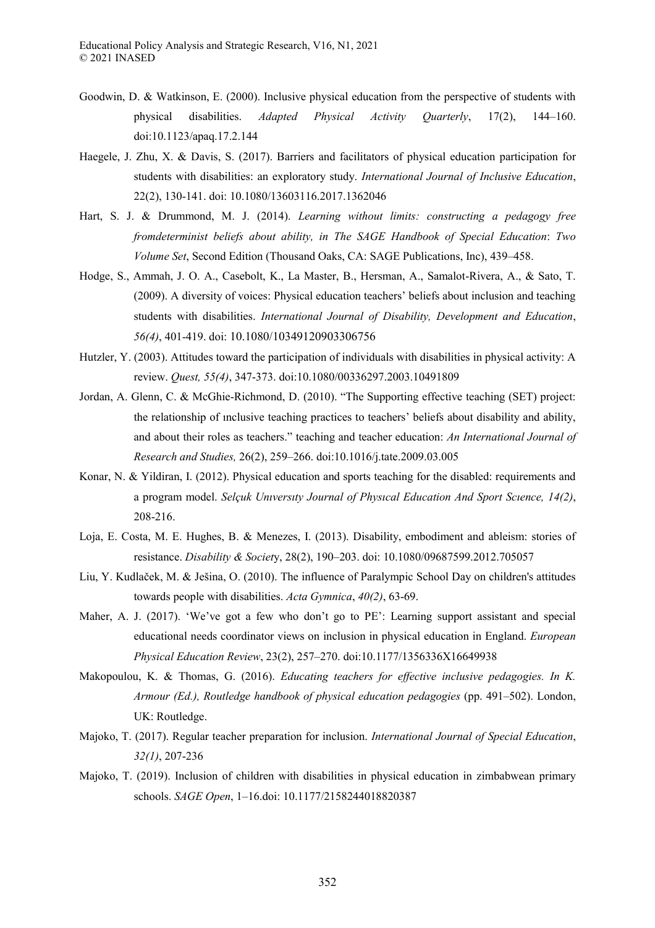- Goodwin, D. & Watkinson, E. (2000). Inclusive physical education from the perspective of students with physical disabilities. *Adapted Physical Activity Quarterly*, 17(2), 144–160. doi:10.1123/apaq.17.2.144
- Haegele, J. Zhu, X. & Davis, S. (2017). Barriers and facilitators of physical education participation for students with disabilities: an exploratory study. *International Journal of Inclusive Education*, 22(2), 130-141. doi: 10.1080/13603116.2017.1362046
- Hart, S. J. & Drummond, M. J. (2014). *Learning without limits: constructing a pedagogy free fromdeterminist beliefs about ability, in The SAGE Handbook of Special Education*: *Two Volume Set*, Second Edition (Thousand Oaks, CA: SAGE Publications, Inc), 439–458.
- Hodge, S., Ammah, J. O. A., Casebolt, K., La Master, B., Hersman, A., Samalot-Rivera, A., & Sato, T. (2009). A diversity of voices: Physical education teachers' beliefs about inclusion and teaching students with disabilities. *International Journal of Disability, Development and Education*, *56(4)*, 401-419. doi: 10.1080/10349120903306756
- Hutzler, Y. (2003). Attitudes toward the participation of individuals with disabilities in physical activity: A review. *Quest, 55(4)*, 347-373. [doi:10.1080/00336297.2003.10491809](https://doi.org/10.1080/00336297.2003.10491809)
- Jordan, A. Glenn, C. & McGhie-Richmond, D. (2010). "The Supporting effective teaching (SET) project: the relationship of ınclusive teaching practices to teachers' beliefs about disability and ability, and about their roles as teachers." teaching and teacher education: *An International Journal of Research and Studies,* 26(2), 259–266. doi:10.1016/j.tate.2009.03.005
- Konar, N. & Yildiran, I. (2012). Physical education and sports teaching for the disabled: requirements and a program model. *Selçuk Unıversıty Journal of Physıcal Education And Sport Scıence, 14(2)*, 208-216.
- Loja, E. Costa, M. E. Hughes, B. & Menezes, I. (2013). Disability, embodiment and ableism: stories of resistance. *Disability & Societ*y, 28(2), 190–203. doi: 10.1080/09687599.2012.705057
- Liu, Y. Kudlaček, M. & Ješina, O. (2010). The influence of Paralympic School Day on children's attitudes towards people with disabilities. *Acta Gymnica*, *40(2)*, 63-69.
- Maher, A. J. (2017). 'We've got a few who don't go to PE': Learning support assistant and special educational needs coordinator views on inclusion in physical education in England. *European Physical Education Review*, 23(2), 257–270. doi:10.1177/1356336X16649938
- Makopoulou, K. & Thomas, G. (2016). *Educating teachers for effective inclusive pedagogies. In K. Armour (Ed.), Routledge handbook of physical education pedagogies* (pp. 491–502). London, UK: Routledge.
- Majoko, T. (2017). Regular teacher preparation for inclusion. *International Journal of Special Education*, *32(1)*, 207-236
- Majoko, T. (2019). Inclusion of children with disabilities in physical education in zimbabwean primary schools. *SAGE Open*, 1–16.doi: [10.1177/2158244018820387](https://www.researchgate.net/deref/http%3A%2F%2Fdx.doi.org%2F10.1177%2F2158244018820387?_sg%5B0%5D=wST8s5zAobb2ltGahiWy9OYIX7gGuN5Vz5LD0GAhX6g5Xpy3D5UqW47fhzk8YO__wtjzEAH1_SXn01aZP8oZ-6mhoQ.BJTCutF1ud6xfa5K3gOfzBQhOc_-6u1GBqSGHCoi2954qMSdID2gNlDKV5hBTNag3wBbVM0s8i5YIfBWTAnZ2g)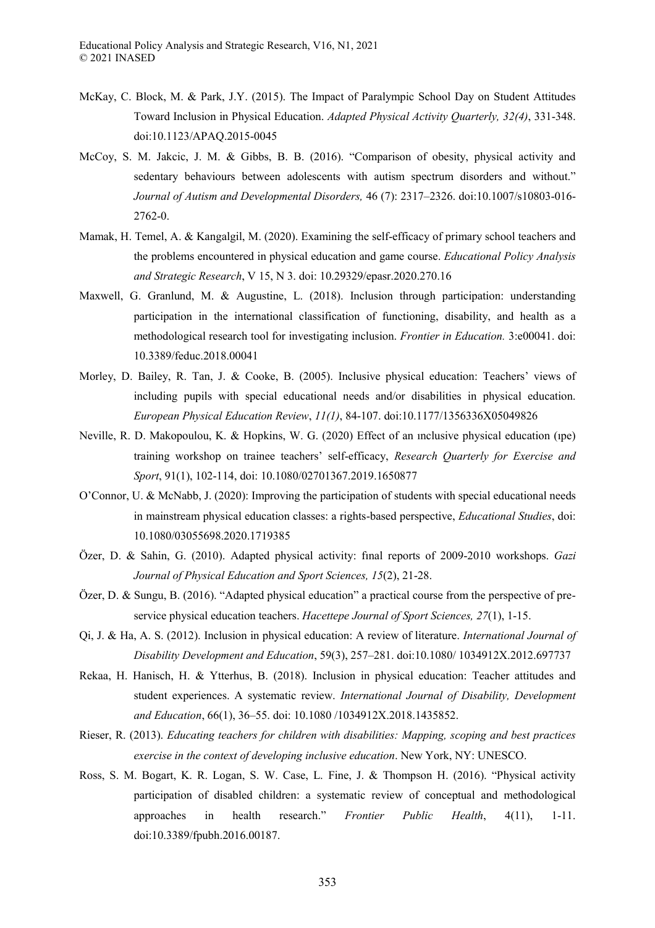- McKay, C. Block, M. & Park, J.Y. (2015). The Impact of Paralympic School Day on Student Attitudes Toward Inclusion in Physical Education. *Adapted Physical Activity Quarterly, 32(4)*, 331-348. doi:10.1123/APAQ.2015-0045
- McCoy, S. M. Jakcic, J. M. & Gibbs, B. B. (2016). "Comparison of obesity, physical activity and sedentary behaviours between adolescents with autism spectrum disorders and without." *Journal of Autism and Developmental Disorders,* 46 (7): 2317–2326. doi:10.1007/s10803-016- 2762-0.
- Mamak, H. Temel, A. & Kangalgil, M. (2020). Examining the self-efficacy of primary school teachers and the problems encountered in physical education and game course. *Educational Policy Analysis and Strategic Research*, V 15, N 3. doi: 10.29329/epasr.2020.270.16
- Maxwell, G. Granlund, M. & Augustine, L. (2018). Inclusion through participation: understanding participation in the international classification of functioning, disability, and health as a methodological research tool for investigating inclusion. *Frontier in Education.* 3:e00041. doi: 10.3389/feduc.2018.00041
- Morley, D. Bailey, R. Tan, J. & Cooke, B. (2005). Inclusive physical education: Teachers' views of including pupils with special educational needs and/or disabilities in physical education. *European Physical Education Review*, *11(1)*, 84-107. doi[:10.1177/1356336X05049826](https://www.researchgate.net/deref/http%3A%2F%2Fdx.doi.org%2F10.1177%2F1356336X05049826?_sg%5B0%5D=2lg1IaKO6kr13El0Kyue4Q564vDLnF4xmaD6n3Rwtu1S2dkDnIM_YF4yP1LSdd8yQ77PP3OOd3P2-aQ_-EQUmX9DcQ.hV0LIdEcGyP0gBfYGRVCx6wXF4vlMF5GC7uOJniGHAeaXp4GFyqoVQYwrnIRdeMgICN_RUnZ4fEo2f21HrFIdQ)
- Neville, R. D. Makopoulou, K. & Hopkins, W. G. (2020) Effect of an ınclusive physical education (ıpe) training workshop on trainee teachers' self-efficacy, *Research Quarterly for Exercise and Sport*, 91(1), 102-114, doi: 10.1080/02701367.2019.1650877
- O'Connor, U. & McNabb, J. (2020): Improving the participation of students with special educational needs in mainstream physical education classes: a rights-based perspective, *Educational Studies*, doi: 10.1080/03055698.2020.1719385
- Özer, D. & Sahin, G. (2010). Adapted physical activity: fınal reports of 2009-2010 workshops. *Gazi Journal of Physical Education and Sport Sciences, 15*(2), 21-28.
- Özer, D. & Sungu, B. (2016). "Adapted physical education" a practical course from the perspective of preservice physical education teachers. *Hacettepe Journal of Sport Sciences, 27*(1), 1-15.
- Qi, J. & Ha, A. S. (2012). Inclusion in physical education: A review of literature. *International Journal of Disability Development and Education*, 59(3), 257–281. doi:10.1080/ 1034912X.2012.697737
- Rekaa, H. Hanisch, H. & Ytterhus, B. (2018). Inclusion in physical education: Teacher attitudes and student experiences. A systematic review. *International Journal of Disability, Development and Education*, 66(1), 36–55. doi: 10.1080 /1034912X.2018.1435852.
- Rieser, R. (2013). *Educating teachers for children with disabilities: Mapping, scoping and best practices exercise in the context of developing inclusive education*. New York, NY: UNESCO.
- Ross, S. M. Bogart, K. R. Logan, S. W. Case, L. Fine, J. & Thompson H. (2016). "Physical activity participation of disabled children: a systematic review of conceptual and methodological approaches in health research." *Frontier Public Health*, 4(11), 1-11. doi:10.3389/fpubh.2016.00187.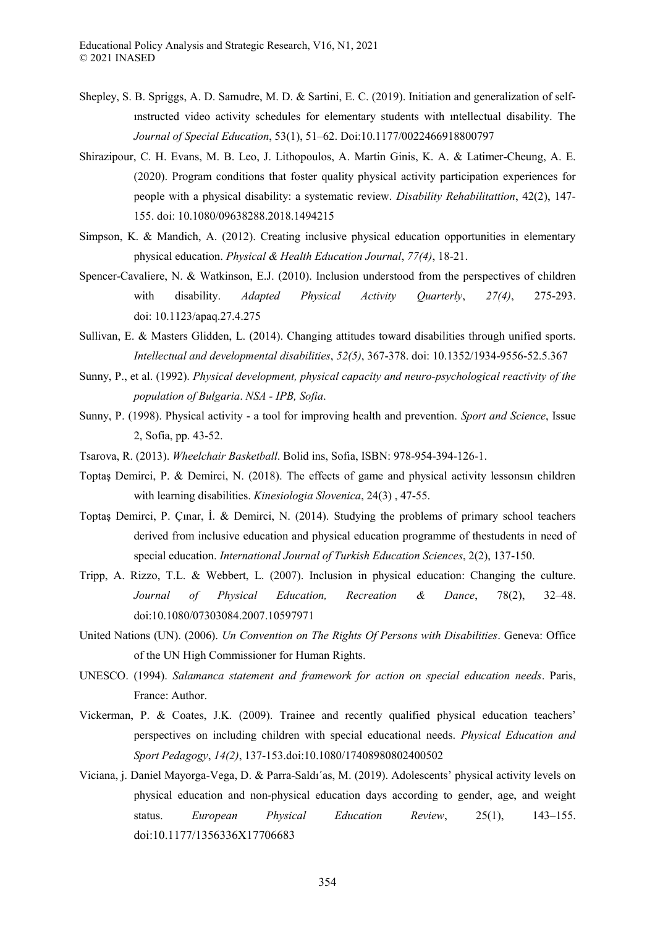- Shepley, S. B. Spriggs, A. D. Samudre, M. D. & Sartini, E. C. (2019). Initiation and generalization of selfınstructed video activity schedules for elementary students with ıntellectual disability. The *Journal of Special Education*, 53(1), 51–62. Doi:10.1177/0022466918800797
- Shirazipour, C. H. Evans, M. B. Leo, J. Lithopoulos, A. Martin Ginis, K. A. & Latimer-Cheung, A. E. (2020). Program conditions that foster quality physical activity participation experiences for people with a physical disability: a systematic review. *Disability Rehabilitattion*, 42(2), 147- 155. doi[: 10.1080/09638288.2018.1494215](https://doi.org/10.1080/09638288.2018.1494215)
- Simpson, K. & Mandich, A. (2012). Creating inclusive physical education opportunities in elementary physical education. *Physical & Health Education Journal*, *77(4)*, 18-21.
- Spencer-Cavaliere, N. & Watkinson, E.J. (2010). Inclusion understood from the perspectives of children with disability. *Adapted Physical Activity Quarterly*, *27(4)*, 275-293. doi: [10.1123/apaq.27.4.275](https://www.researchgate.net/deref/http%3A%2F%2Fdx.doi.org%2F10.1123%2Fapaq.27.4.275?_sg%5B0%5D=eZTsxXp8onKrAE0KTzopmUCvKBRR7u160b64zjr19YLWG5PFw0PIoQ-4ksEs16lcz0oW6Z27uyW4Csxj4vVXDd52eQ.dK-L43cg1h59BS2-Bqq7xBwwBJZwxbMp94KTtCNfkvx4clqtJej3GVaFAquv5IiZAYM5xOAHZuOr0_G6sSm-Ww)
- Sullivan, E. & Masters Glidden, L. (2014). Changing attitudes toward disabilities through unified sports. *Intellectual and developmental disabilities*, *52(5)*, 367-378. doi: 10.1352/1934-9556-52.5.367
- Sunny, P., et al. (1992). *Physical development, physical capacity and neuro-psychological reactivity of the population of Bulgaria*. *NSA - IPB, Sofia*.
- Sunny, P. (1998). Physical activity a tool for improving health and prevention. *Sport and Science*, Issue 2, Sofia, pp. 43-52.
- Tsarova, R. (2013). *Wheelchair Basketball*. Bolid ins, Sofia, ISBN: 978-954-394-126-1.
- Toptaş Demirci, P. & Demirci, N. (2018). The effects of game and physical activity lessonsın children with learning disabilities. *Kinesiologia Slovenica*, 24(3) , 47-55.
- Toptaş Demirci, P. Çınar, İ. & Demirci, N. (2014). Studying the problems of primary school teachers derived from inclusive education and physical education programme of thestudents in need of special education. *International Journal of Turkish Education Sciences*, 2(2), 137-150.
- Tripp, A. Rizzo, T.L. & Webbert, L. (2007). Inclusion in physical education: Changing the culture. *Journal of Physical Education, Recreation & Dance*, 78(2), 32–48. doi:10.1080/07303084.2007.10597971
- United Nations (UN). (2006). *Un Convention on The Rights Of Persons with Disabilities*. Geneva: Office of the UN High Commissioner for Human Rights.
- UNESCO. (1994). *Salamanca statement and framework for action on special education needs*. Paris, France: Author.
- Vickerman, P. & Coates, J.K. (2009). Trainee and recently qualified physical education teachers' perspectives on including children with special educational needs. *Physical Education and Sport Pedagogy*, *14(2)*, 137-153[.doi:10.1080/17408980802400502](https://doi.org/10.1080/17408980802400502)
- Viciana, j. Daniel Mayorga-Vega, D. & Parra-Saldı´as, M. (2019). Adolescents' physical activity levels on physical education and non-physical education days according to gender, age, and weight status. *European Physical Education Review*, 25(1), 143–155. doi:10.1177/1356336X17706683